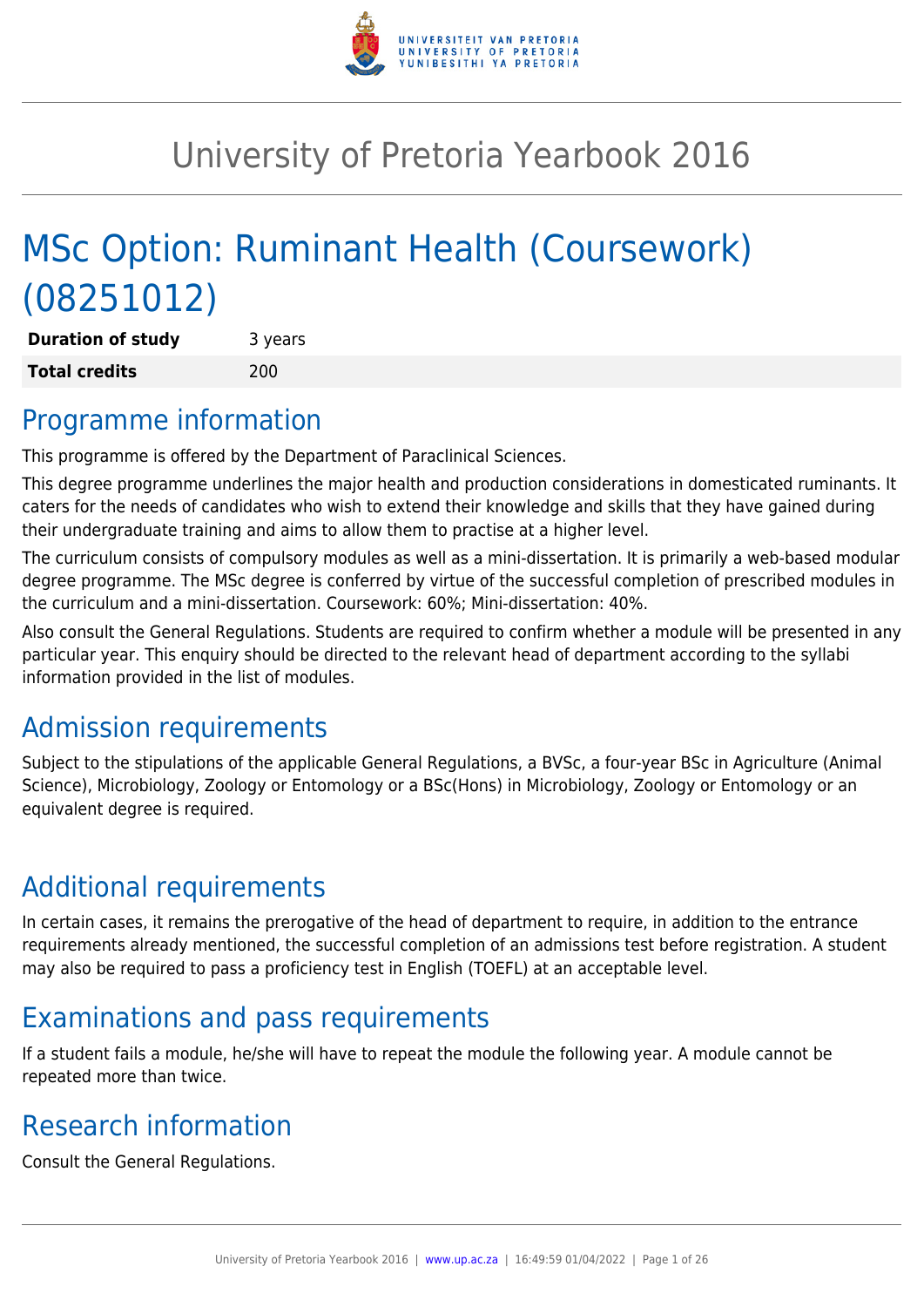

# University of Pretoria Yearbook 2016

# MSc Option: Ruminant Health (Coursework) (08251012)

**Duration of study** 3 years **Total credits** 200

## Programme information

This programme is offered by the Department of Paraclinical Sciences.

This degree programme underlines the major health and production considerations in domesticated ruminants. It caters for the needs of candidates who wish to extend their knowledge and skills that they have gained during their undergraduate training and aims to allow them to practise at a higher level.

The curriculum consists of compulsory modules as well as a mini-dissertation. It is primarily a web-based modular degree programme. The MSc degree is conferred by virtue of the successful completion of prescribed modules in the curriculum and a mini-dissertation. Coursework: 60%; Mini-dissertation: 40%.

Also consult the General Regulations. Students are required to confirm whether a module will be presented in any particular year. This enquiry should be directed to the relevant head of department according to the syllabi information provided in the list of modules.

## Admission requirements

Subject to the stipulations of the applicable General Regulations, a BVSc, a four-year BSc in Agriculture (Animal Science), Microbiology, Zoology or Entomology or a BSc(Hons) in Microbiology, Zoology or Entomology or an equivalent degree is required.

## Additional requirements

In certain cases, it remains the prerogative of the head of department to require, in addition to the entrance requirements already mentioned, the successful completion of an admissions test before registration. A student may also be required to pass a proficiency test in English (TOEFL) at an acceptable level.

## Examinations and pass requirements

If a student fails a module, he/she will have to repeat the module the following year. A module cannot be repeated more than twice.

## Research information

Consult the General Regulations.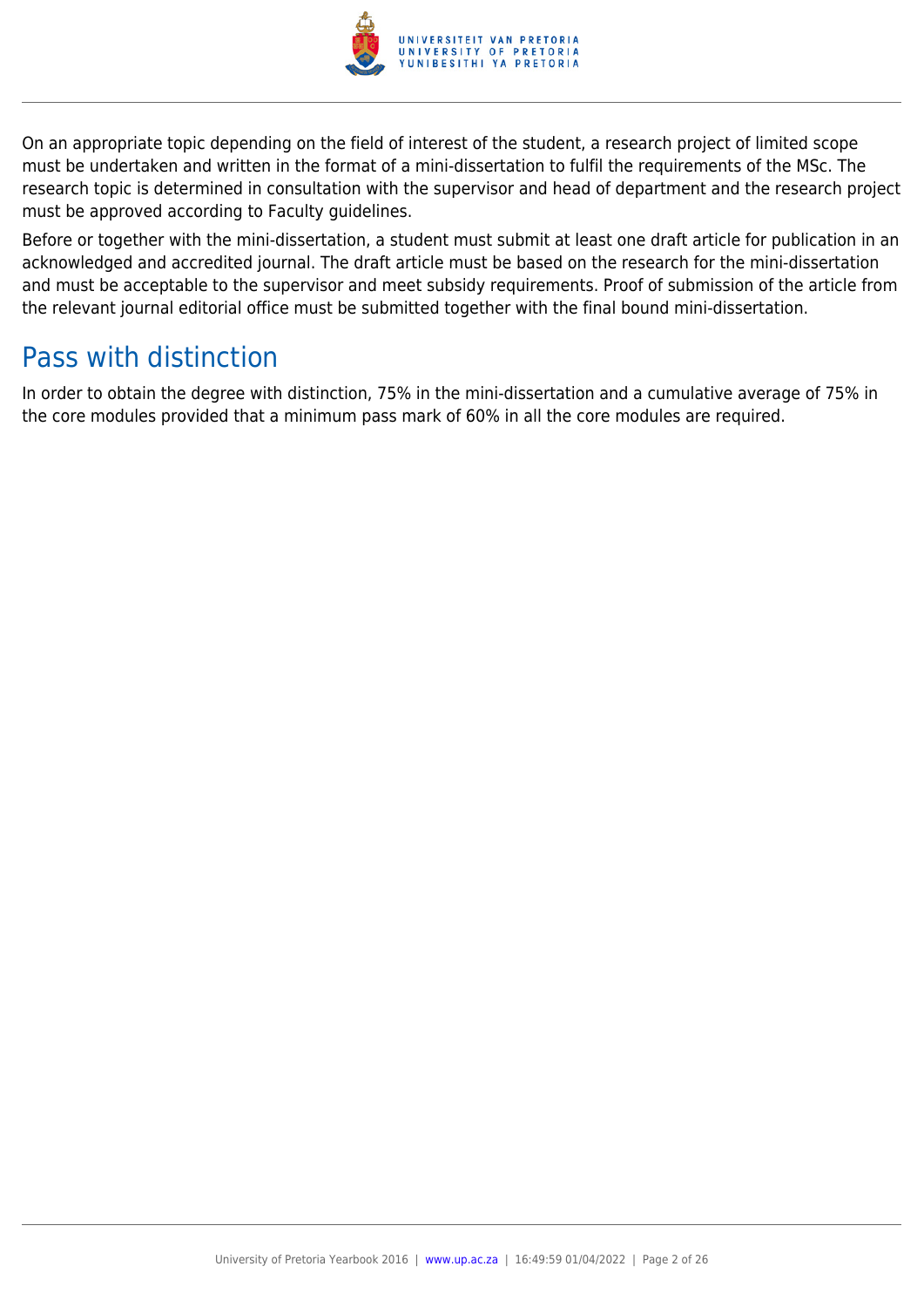

On an appropriate topic depending on the field of interest of the student, a research project of limited scope must be undertaken and written in the format of a mini-dissertation to fulfil the requirements of the MSc. The research topic is determined in consultation with the supervisor and head of department and the research project must be approved according to Faculty guidelines.

Before or together with the mini-dissertation, a student must submit at least one draft article for publication in an acknowledged and accredited journal. The draft article must be based on the research for the mini-dissertation and must be acceptable to the supervisor and meet subsidy requirements. Proof of submission of the article from the relevant journal editorial office must be submitted together with the final bound mini-dissertation.

## Pass with distinction

In order to obtain the degree with distinction, 75% in the mini-dissertation and a cumulative average of 75% in the core modules provided that a minimum pass mark of 60% in all the core modules are required.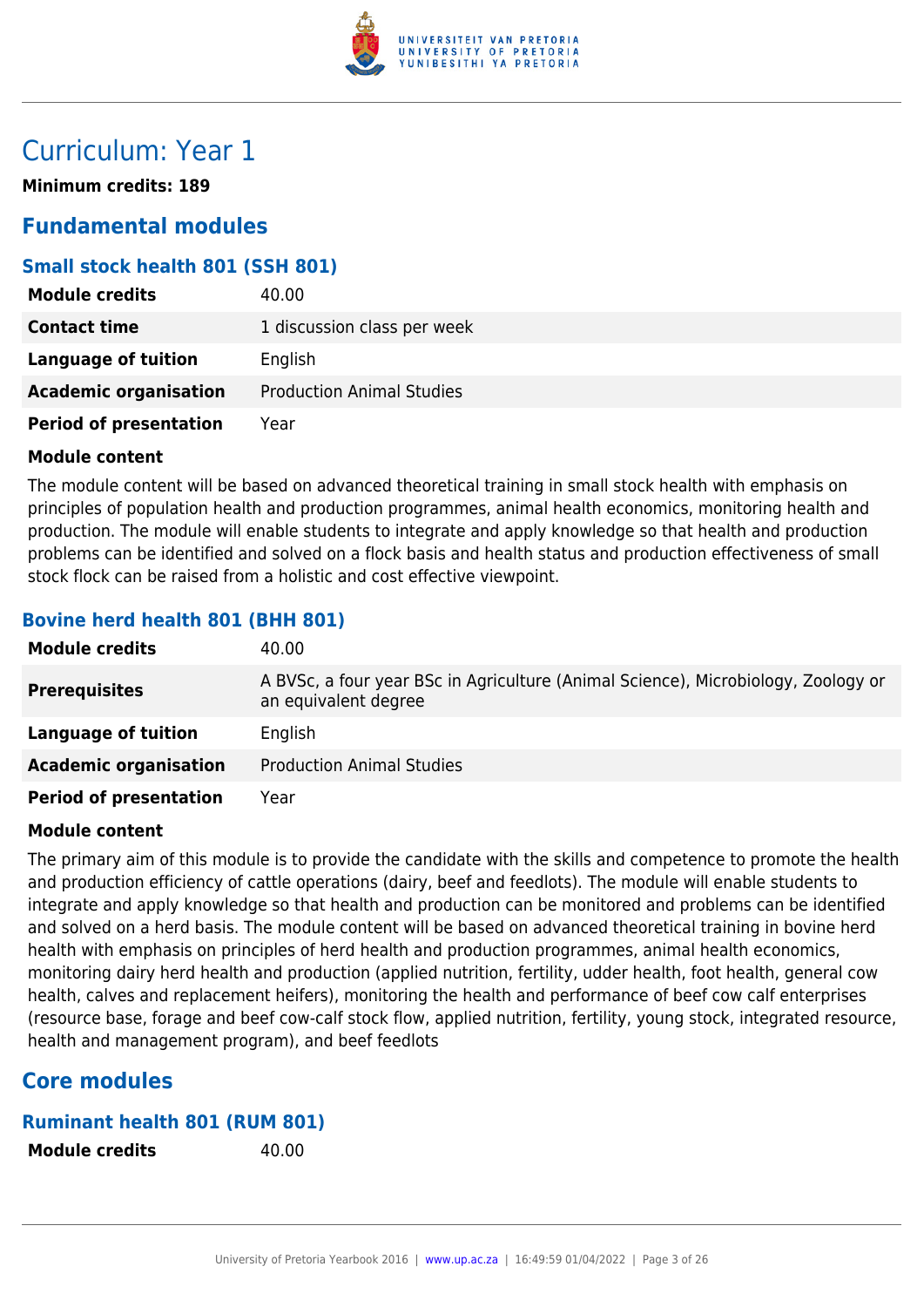

## Curriculum: Year 1

**Minimum credits: 189**

## **Fundamental modules**

## **Small stock health 801 (SSH 801)**

| <b>Module credits</b>         | 40.00                            |
|-------------------------------|----------------------------------|
| <b>Contact time</b>           | 1 discussion class per week      |
| <b>Language of tuition</b>    | English                          |
| <b>Academic organisation</b>  | <b>Production Animal Studies</b> |
| <b>Period of presentation</b> | Year                             |

#### **Module content**

The module content will be based on advanced theoretical training in small stock health with emphasis on principles of population health and production programmes, animal health economics, monitoring health and production. The module will enable students to integrate and apply knowledge so that health and production problems can be identified and solved on a flock basis and health status and production effectiveness of small stock flock can be raised from a holistic and cost effective viewpoint.

## **Bovine herd health 801 (BHH 801)**

| <b>Module credits</b>         | 40.00                                                                                                     |
|-------------------------------|-----------------------------------------------------------------------------------------------------------|
| <b>Prerequisites</b>          | A BVSc, a four year BSc in Agriculture (Animal Science), Microbiology, Zoology or<br>an equivalent degree |
| Language of tuition           | English                                                                                                   |
| <b>Academic organisation</b>  | <b>Production Animal Studies</b>                                                                          |
| <b>Period of presentation</b> | Year                                                                                                      |

#### **Module content**

The primary aim of this module is to provide the candidate with the skills and competence to promote the health and production efficiency of cattle operations (dairy, beef and feedlots). The module will enable students to integrate and apply knowledge so that health and production can be monitored and problems can be identified and solved on a herd basis. The module content will be based on advanced theoretical training in bovine herd health with emphasis on principles of herd health and production programmes, animal health economics, monitoring dairy herd health and production (applied nutrition, fertility, udder health, foot health, general cow health, calves and replacement heifers), monitoring the health and performance of beef cow calf enterprises (resource base, forage and beef cow-calf stock flow, applied nutrition, fertility, young stock, integrated resource, health and management program), and beef feedlots

## **Core modules**

#### **Ruminant health 801 (RUM 801)**

**Module credits** 40.00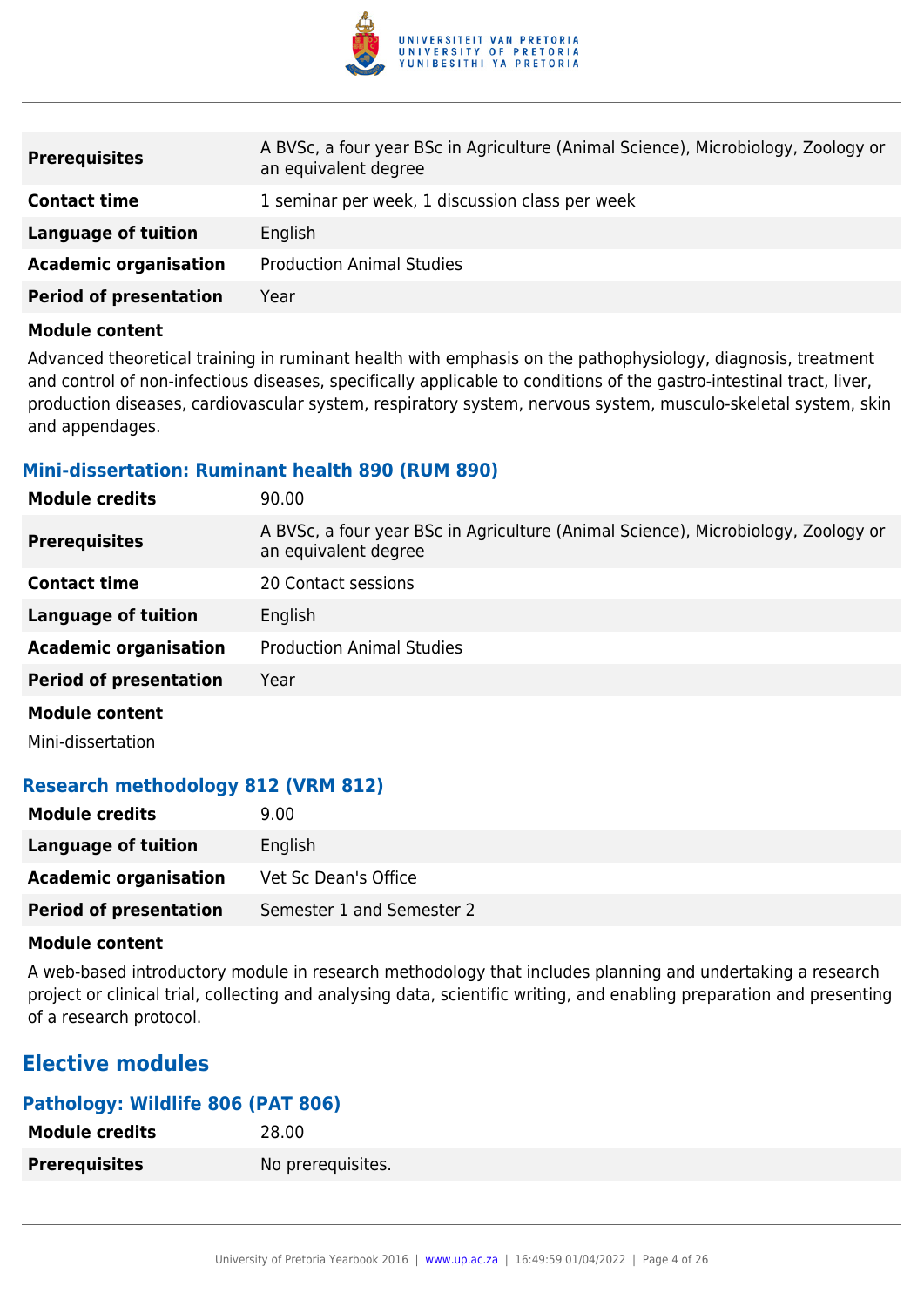

| <b>Prerequisites</b>          | A BVSc, a four year BSc in Agriculture (Animal Science), Microbiology, Zoology or<br>an equivalent degree |
|-------------------------------|-----------------------------------------------------------------------------------------------------------|
| <b>Contact time</b>           | 1 seminar per week, 1 discussion class per week                                                           |
| Language of tuition           | English                                                                                                   |
| <b>Academic organisation</b>  | <b>Production Animal Studies</b>                                                                          |
| <b>Period of presentation</b> | Year                                                                                                      |

Advanced theoretical training in ruminant health with emphasis on the pathophysiology, diagnosis, treatment and control of non-infectious diseases, specifically applicable to conditions of the gastro-intestinal tract, liver, production diseases, cardiovascular system, respiratory system, nervous system, musculo-skeletal system, skin and appendages.

#### **Mini-dissertation: Ruminant health 890 (RUM 890)**

| <b>Module credits</b>         | 90.00                                                                                                     |
|-------------------------------|-----------------------------------------------------------------------------------------------------------|
| <b>Prerequisites</b>          | A BVSc, a four year BSc in Agriculture (Animal Science), Microbiology, Zoology or<br>an equivalent degree |
| <b>Contact time</b>           | 20 Contact sessions                                                                                       |
| <b>Language of tuition</b>    | English                                                                                                   |
| <b>Academic organisation</b>  | <b>Production Animal Studies</b>                                                                          |
| <b>Period of presentation</b> | Year                                                                                                      |
| <b>Module content</b>         |                                                                                                           |
|                               |                                                                                                           |

Mini-dissertation

## **Research methodology 812 (VRM 812)**

| <b>Module credits</b>         | 9.00                      |
|-------------------------------|---------------------------|
| Language of tuition           | English                   |
| <b>Academic organisation</b>  | Vet Sc Dean's Office      |
| <b>Period of presentation</b> | Semester 1 and Semester 2 |

#### **Module content**

A web-based introductory module in research methodology that includes planning and undertaking a research project or clinical trial, collecting and analysing data, scientific writing, and enabling preparation and presenting of a research protocol.

## **Elective modules**

#### **Pathology: Wildlife 806 (PAT 806)**

| <b>Module credits</b> | 28.00             |
|-----------------------|-------------------|
| <b>Prerequisites</b>  | No prerequisites. |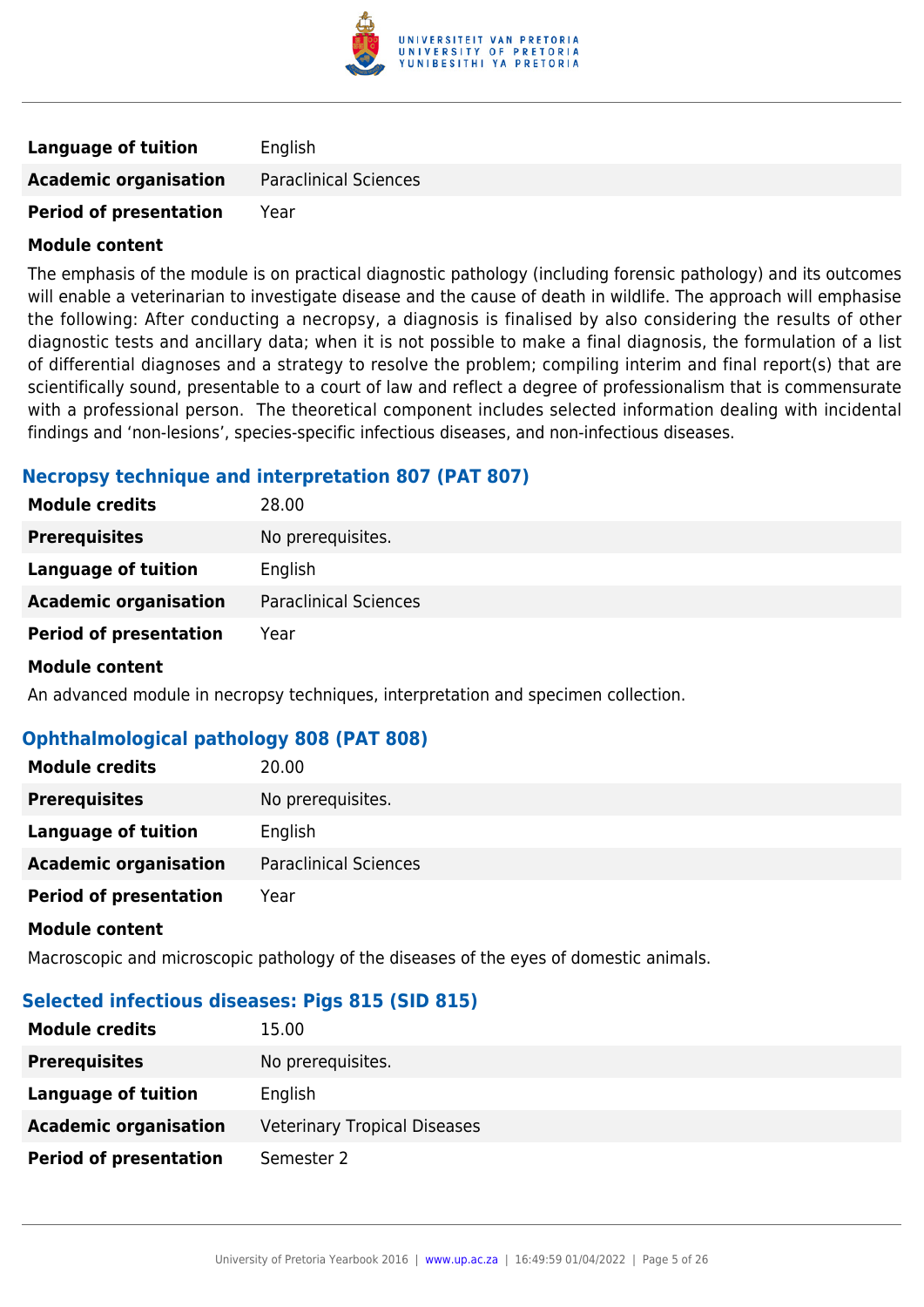

| <b>Language of tuition</b>    | English                      |
|-------------------------------|------------------------------|
| <b>Academic organisation</b>  | <b>Paraclinical Sciences</b> |
| <b>Period of presentation</b> | Year                         |

The emphasis of the module is on practical diagnostic pathology (including forensic pathology) and its outcomes will enable a veterinarian to investigate disease and the cause of death in wildlife. The approach will emphasise the following: After conducting a necropsy, a diagnosis is finalised by also considering the results of other diagnostic tests and ancillary data; when it is not possible to make a final diagnosis, the formulation of a list of differential diagnoses and a strategy to resolve the problem; compiling interim and final report(s) that are scientifically sound, presentable to a court of law and reflect a degree of professionalism that is commensurate with a professional person. The theoretical component includes selected information dealing with incidental findings and 'non-lesions', species-specific infectious diseases, and non-infectious diseases.

#### **Necropsy technique and interpretation 807 (PAT 807)**

| <b>Module credits</b>         | 28.00                        |
|-------------------------------|------------------------------|
| <b>Prerequisites</b>          | No prerequisites.            |
| Language of tuition           | English                      |
| <b>Academic organisation</b>  | <b>Paraclinical Sciences</b> |
| <b>Period of presentation</b> | Year                         |
| <b>Module content</b>         |                              |

An advanced module in necropsy techniques, interpretation and specimen collection.

## **Ophthalmological pathology 808 (PAT 808)**

| <b>Module credits</b>         | 20.00                        |
|-------------------------------|------------------------------|
| <b>Prerequisites</b>          | No prerequisites.            |
| Language of tuition           | English                      |
| <b>Academic organisation</b>  | <b>Paraclinical Sciences</b> |
| <b>Period of presentation</b> | Year                         |

#### **Module content**

Macroscopic and microscopic pathology of the diseases of the eyes of domestic animals.

## **Selected infectious diseases: Pigs 815 (SID 815)**

| <b>Module credits</b>         | 15.00                               |
|-------------------------------|-------------------------------------|
| <b>Prerequisites</b>          | No prerequisites.                   |
| Language of tuition           | English                             |
| <b>Academic organisation</b>  | <b>Veterinary Tropical Diseases</b> |
| <b>Period of presentation</b> | Semester 2                          |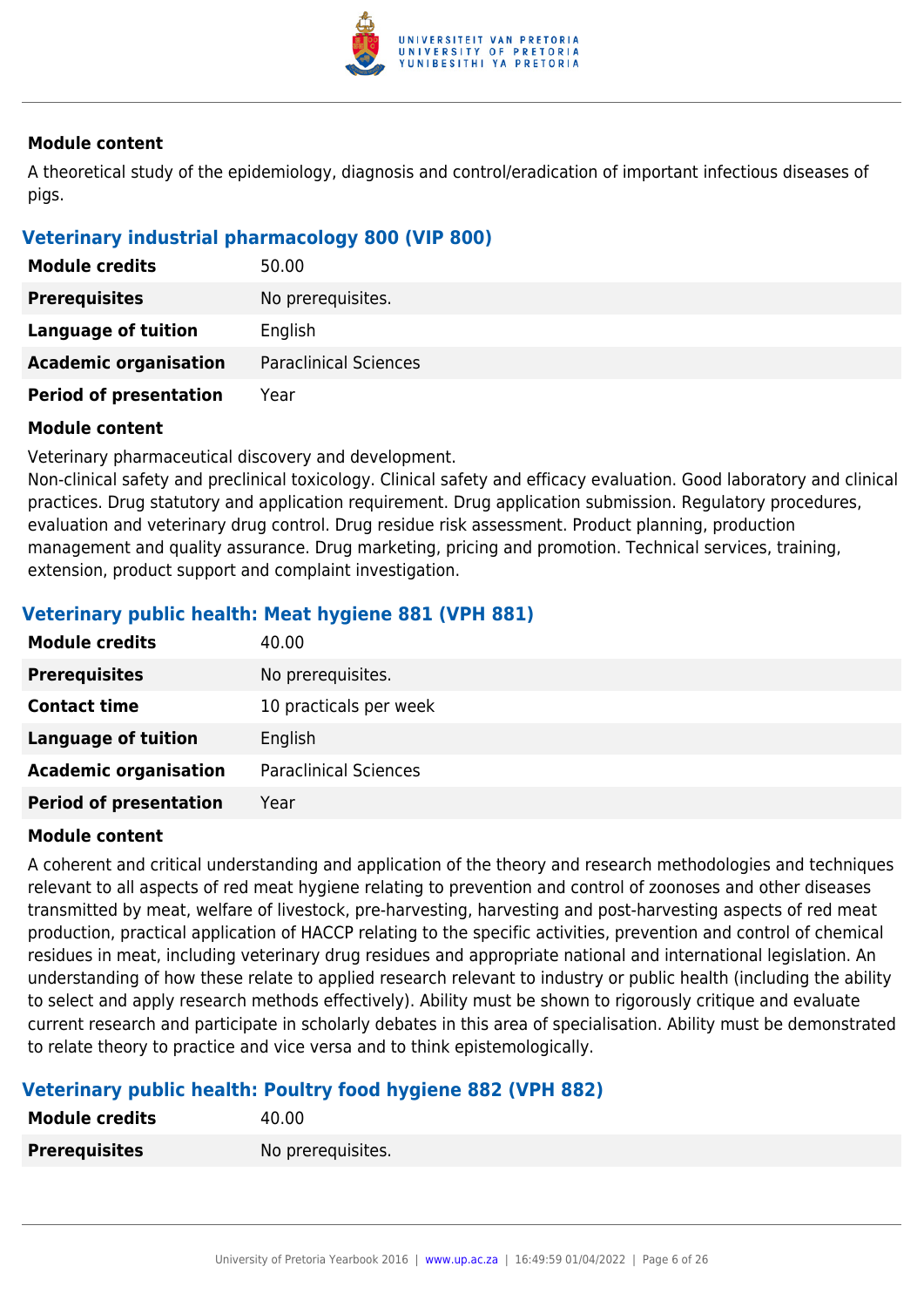

A theoretical study of the epidemiology, diagnosis and control/eradication of important infectious diseases of pigs.

## **Veterinary industrial pharmacology 800 (VIP 800)**

| <b>Module credits</b>         | 50.00                        |
|-------------------------------|------------------------------|
| <b>Prerequisites</b>          | No prerequisites.            |
| Language of tuition           | English                      |
| <b>Academic organisation</b>  | <b>Paraclinical Sciences</b> |
| <b>Period of presentation</b> | Year                         |

#### **Module content**

Veterinary pharmaceutical discovery and development.

Non-clinical safety and preclinical toxicology. Clinical safety and efficacy evaluation. Good laboratory and clinical practices. Drug statutory and application requirement. Drug application submission. Regulatory procedures, evaluation and veterinary drug control. Drug residue risk assessment. Product planning, production management and quality assurance. Drug marketing, pricing and promotion. Technical services, training, extension, product support and complaint investigation.

## **Veterinary public health: Meat hygiene 881 (VPH 881)**

| <b>Module credits</b>         | 40.00                        |
|-------------------------------|------------------------------|
| <b>Prerequisites</b>          | No prerequisites.            |
| <b>Contact time</b>           | 10 practicals per week       |
| <b>Language of tuition</b>    | English                      |
| <b>Academic organisation</b>  | <b>Paraclinical Sciences</b> |
| <b>Period of presentation</b> | Year                         |

#### **Module content**

A coherent and critical understanding and application of the theory and research methodologies and techniques relevant to all aspects of red meat hygiene relating to prevention and control of zoonoses and other diseases transmitted by meat, welfare of livestock, pre-harvesting, harvesting and post-harvesting aspects of red meat production, practical application of HACCP relating to the specific activities, prevention and control of chemical residues in meat, including veterinary drug residues and appropriate national and international legislation. An understanding of how these relate to applied research relevant to industry or public health (including the ability to select and apply research methods effectively). Ability must be shown to rigorously critique and evaluate current research and participate in scholarly debates in this area of specialisation. Ability must be demonstrated to relate theory to practice and vice versa and to think epistemologically.

## **Veterinary public health: Poultry food hygiene 882 (VPH 882)**

| <b>Module credits</b> | 40.00             |
|-----------------------|-------------------|
| <b>Prerequisites</b>  | No prerequisites. |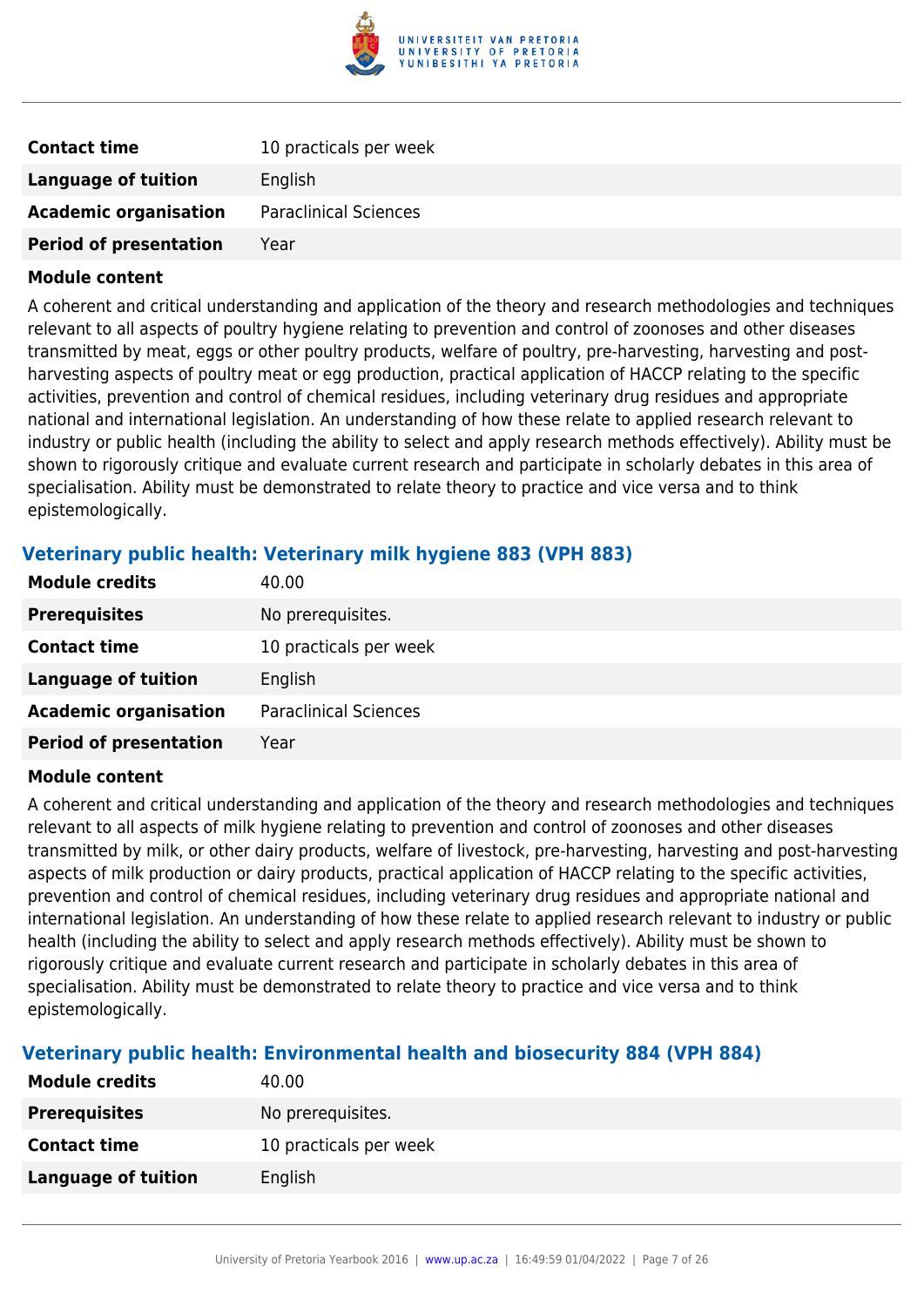

| <b>Contact time</b>           | 10 practicals per week       |
|-------------------------------|------------------------------|
| Language of tuition           | English                      |
| <b>Academic organisation</b>  | <b>Paraclinical Sciences</b> |
| <b>Period of presentation</b> | Year                         |

A coherent and critical understanding and application of the theory and research methodologies and techniques relevant to all aspects of poultry hygiene relating to prevention and control of zoonoses and other diseases transmitted by meat, eggs or other poultry products, welfare of poultry, pre-harvesting, harvesting and postharvesting aspects of poultry meat or egg production, practical application of HACCP relating to the specific activities, prevention and control of chemical residues, including veterinary drug residues and appropriate national and international legislation. An understanding of how these relate to applied research relevant to industry or public health (including the ability to select and apply research methods effectively). Ability must be shown to rigorously critique and evaluate current research and participate in scholarly debates in this area of specialisation. Ability must be demonstrated to relate theory to practice and vice versa and to think epistemologically.

## **Veterinary public health: Veterinary milk hygiene 883 (VPH 883)**

| <b>Module credits</b>         | 40.00                        |
|-------------------------------|------------------------------|
| <b>Prerequisites</b>          | No prerequisites.            |
| <b>Contact time</b>           | 10 practicals per week       |
| <b>Language of tuition</b>    | English                      |
| <b>Academic organisation</b>  | <b>Paraclinical Sciences</b> |
| <b>Period of presentation</b> | Year                         |
|                               |                              |

#### **Module content**

A coherent and critical understanding and application of the theory and research methodologies and techniques relevant to all aspects of milk hygiene relating to prevention and control of zoonoses and other diseases transmitted by milk, or other dairy products, welfare of livestock, pre-harvesting, harvesting and post-harvesting aspects of milk production or dairy products, practical application of HACCP relating to the specific activities, prevention and control of chemical residues, including veterinary drug residues and appropriate national and international legislation. An understanding of how these relate to applied research relevant to industry or public health (including the ability to select and apply research methods effectively). Ability must be shown to rigorously critique and evaluate current research and participate in scholarly debates in this area of specialisation. Ability must be demonstrated to relate theory to practice and vice versa and to think epistemologically.

## **Veterinary public health: Environmental health and biosecurity 884 (VPH 884)**

| <b>Module credits</b> | 40.00                  |
|-----------------------|------------------------|
| <b>Prerequisites</b>  | No prerequisites.      |
| <b>Contact time</b>   | 10 practicals per week |
| Language of tuition   | English                |
|                       |                        |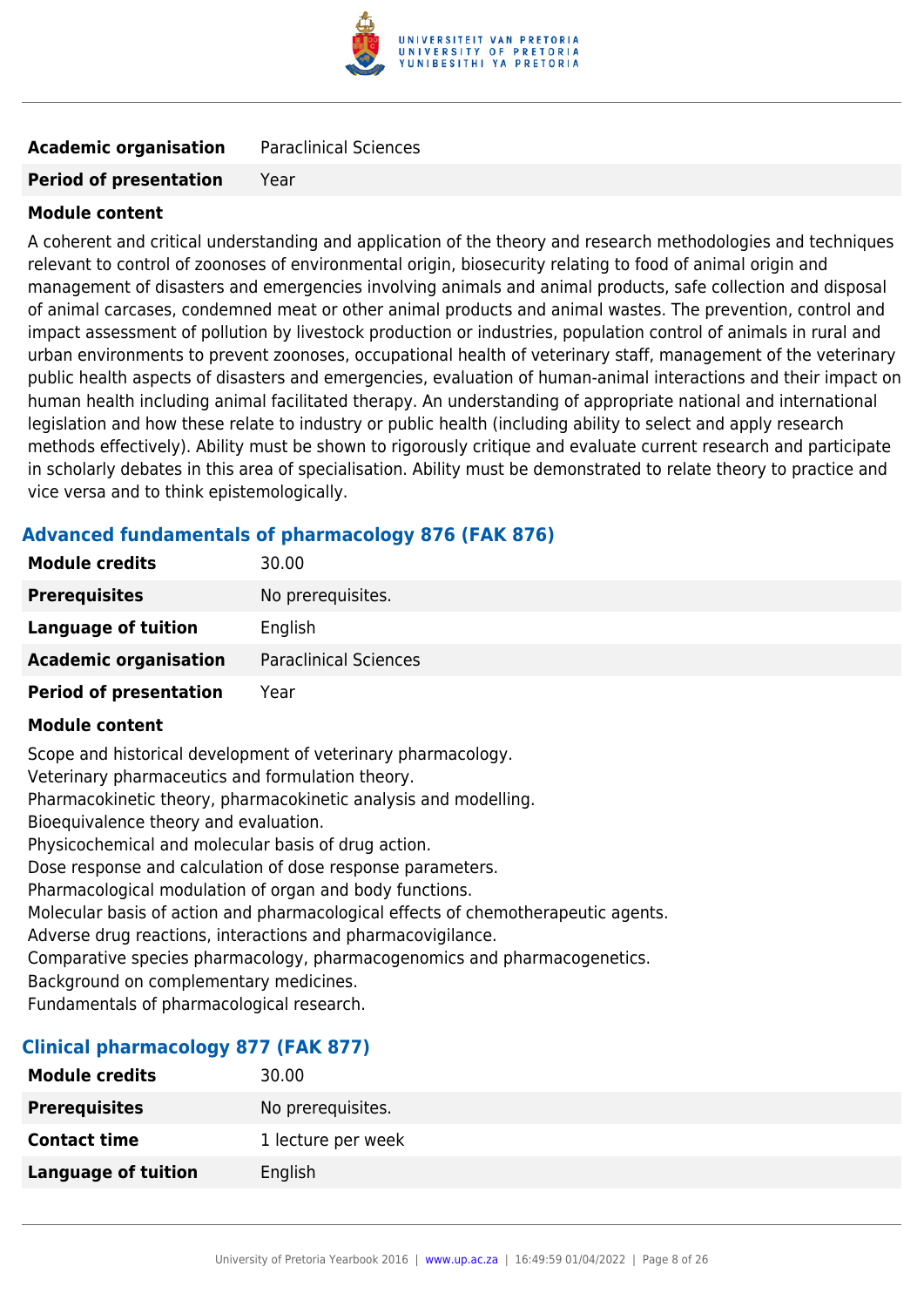

## **Academic organisation** Paraclinical Sciences

#### **Period of presentation** Year

#### **Module content**

A coherent and critical understanding and application of the theory and research methodologies and techniques relevant to control of zoonoses of environmental origin, biosecurity relating to food of animal origin and management of disasters and emergencies involving animals and animal products, safe collection and disposal of animal carcases, condemned meat or other animal products and animal wastes. The prevention, control and impact assessment of pollution by livestock production or industries, population control of animals in rural and urban environments to prevent zoonoses, occupational health of veterinary staff, management of the veterinary public health aspects of disasters and emergencies, evaluation of human-animal interactions and their impact on human health including animal facilitated therapy. An understanding of appropriate national and international legislation and how these relate to industry or public health (including ability to select and apply research methods effectively). Ability must be shown to rigorously critique and evaluate current research and participate in scholarly debates in this area of specialisation. Ability must be demonstrated to relate theory to practice and vice versa and to think epistemologically.

## **Advanced fundamentals of pharmacology 876 (FAK 876)**

| <b>Module credits</b>         | 30.00                        |
|-------------------------------|------------------------------|
| <b>Prerequisites</b>          | No prerequisites.            |
| Language of tuition           | English                      |
| <b>Academic organisation</b>  | <b>Paraclinical Sciences</b> |
| <b>Period of presentation</b> | Year                         |

#### **Module content**

Scope and historical development of veterinary pharmacology. Veterinary pharmaceutics and formulation theory. Pharmacokinetic theory, pharmacokinetic analysis and modelling. Bioequivalence theory and evaluation. Physicochemical and molecular basis of drug action. Dose response and calculation of dose response parameters. Pharmacological modulation of organ and body functions. Molecular basis of action and pharmacological effects of chemotherapeutic agents. Adverse drug reactions, interactions and pharmacovigilance. Comparative species pharmacology, pharmacogenomics and pharmacogenetics. Background on complementary medicines.

Fundamentals of pharmacological research.

#### **Clinical pharmacology 877 (FAK 877)**

| <b>Module credits</b> | 30.00              |
|-----------------------|--------------------|
| <b>Prerequisites</b>  | No prerequisites.  |
| <b>Contact time</b>   | 1 lecture per week |
| Language of tuition   | English            |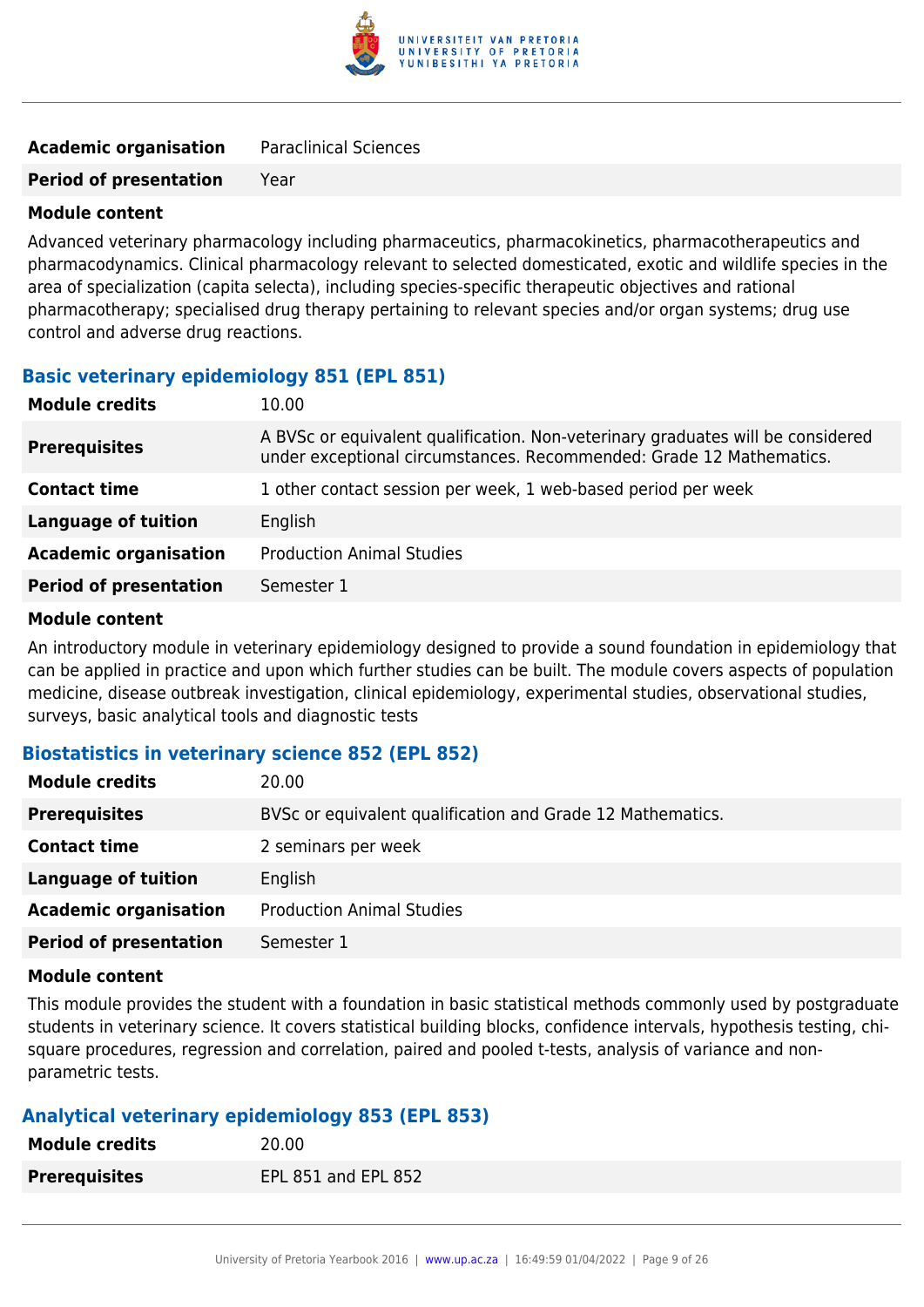

| <b>Academic organisation</b> | <b>Paraclinical Sciences</b> |
|------------------------------|------------------------------|
|                              |                              |

**Period of presentation** Year

#### **Module content**

Advanced veterinary pharmacology including pharmaceutics, pharmacokinetics, pharmacotherapeutics and pharmacodynamics. Clinical pharmacology relevant to selected domesticated, exotic and wildlife species in the area of specialization (capita selecta), including species-specific therapeutic objectives and rational pharmacotherapy; specialised drug therapy pertaining to relevant species and/or organ systems; drug use control and adverse drug reactions.

#### **Basic veterinary epidemiology 851 (EPL 851)**

| <b>Module credits</b>         | 10.00                                                                                                                                                  |
|-------------------------------|--------------------------------------------------------------------------------------------------------------------------------------------------------|
| <b>Prerequisites</b>          | A BVSc or equivalent qualification. Non-veterinary graduates will be considered<br>under exceptional circumstances. Recommended: Grade 12 Mathematics. |
| <b>Contact time</b>           | 1 other contact session per week, 1 web-based period per week                                                                                          |
| <b>Language of tuition</b>    | English                                                                                                                                                |
| <b>Academic organisation</b>  | <b>Production Animal Studies</b>                                                                                                                       |
| <b>Period of presentation</b> | Semester 1                                                                                                                                             |
|                               |                                                                                                                                                        |

#### **Module content**

An introductory module in veterinary epidemiology designed to provide a sound foundation in epidemiology that can be applied in practice and upon which further studies can be built. The module covers aspects of population medicine, disease outbreak investigation, clinical epidemiology, experimental studies, observational studies, surveys, basic analytical tools and diagnostic tests

## **Biostatistics in veterinary science 852 (EPL 852)**

| <b>Module credits</b>         | 20.00                                                      |
|-------------------------------|------------------------------------------------------------|
| <b>Prerequisites</b>          | BVSc or equivalent qualification and Grade 12 Mathematics. |
| <b>Contact time</b>           | 2 seminars per week                                        |
| <b>Language of tuition</b>    | English                                                    |
| <b>Academic organisation</b>  | <b>Production Animal Studies</b>                           |
| <b>Period of presentation</b> | Semester 1                                                 |

#### **Module content**

This module provides the student with a foundation in basic statistical methods commonly used by postgraduate students in veterinary science. It covers statistical building blocks, confidence intervals, hypothesis testing, chisquare procedures, regression and correlation, paired and pooled t-tests, analysis of variance and nonparametric tests.

## **Analytical veterinary epidemiology 853 (EPL 853)**

| <b>Module credits</b> | 20.00               |
|-----------------------|---------------------|
| <b>Prerequisites</b>  | EPL 851 and EPL 852 |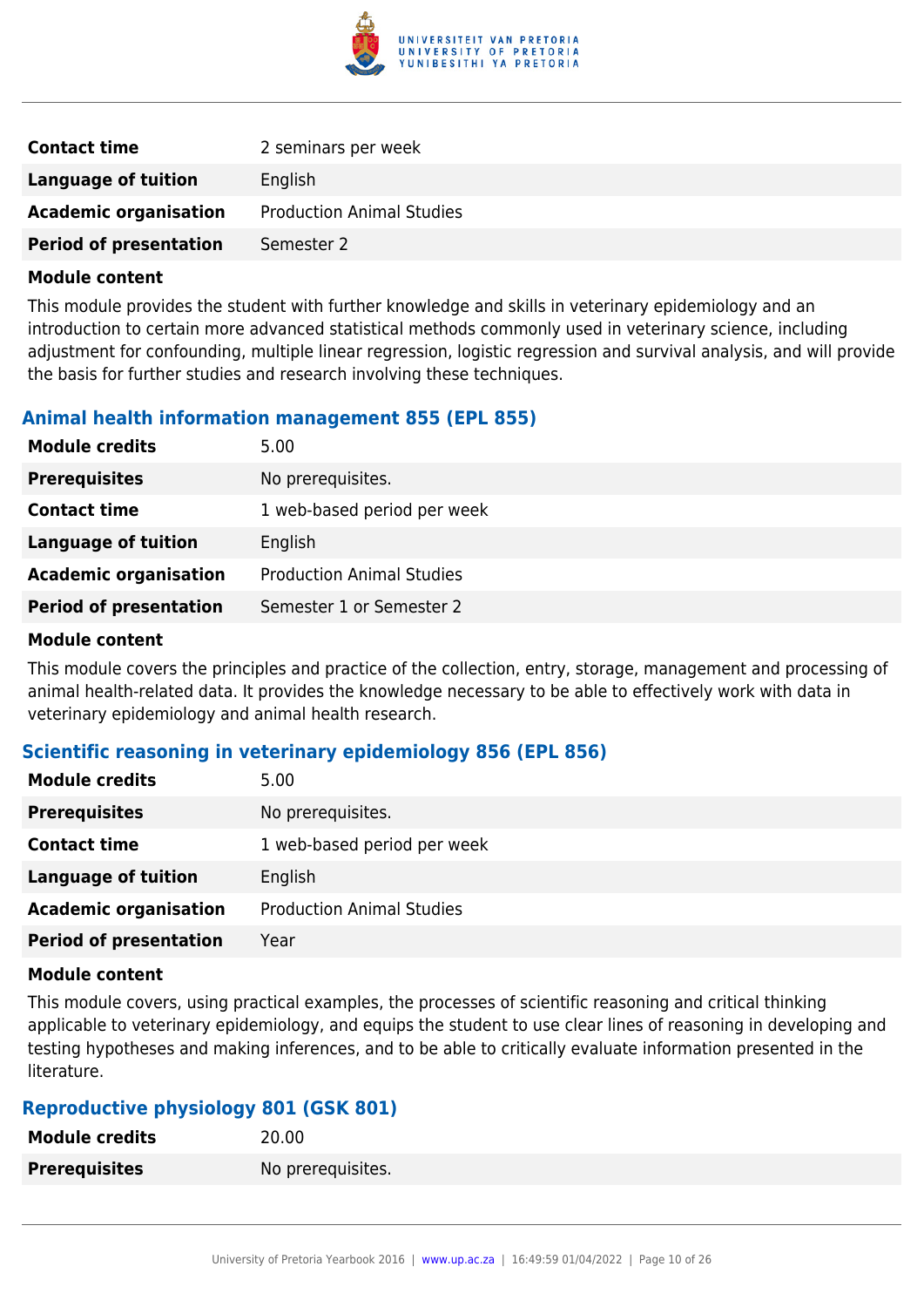

| <b>Contact time</b>           | 2 seminars per week              |
|-------------------------------|----------------------------------|
| <b>Language of tuition</b>    | English                          |
| <b>Academic organisation</b>  | <b>Production Animal Studies</b> |
| <b>Period of presentation</b> | Semester 2                       |

This module provides the student with further knowledge and skills in veterinary epidemiology and an introduction to certain more advanced statistical methods commonly used in veterinary science, including adjustment for confounding, multiple linear regression, logistic regression and survival analysis, and will provide the basis for further studies and research involving these techniques.

## **Animal health information management 855 (EPL 855)**

| <b>Module credits</b>         | 5.00                             |
|-------------------------------|----------------------------------|
| <b>Prerequisites</b>          | No prerequisites.                |
| <b>Contact time</b>           | 1 web-based period per week      |
| <b>Language of tuition</b>    | English                          |
| <b>Academic organisation</b>  | <b>Production Animal Studies</b> |
| <b>Period of presentation</b> | Semester 1 or Semester 2         |
|                               |                                  |

#### **Module content**

This module covers the principles and practice of the collection, entry, storage, management and processing of animal health-related data. It provides the knowledge necessary to be able to effectively work with data in veterinary epidemiology and animal health research.

## **Scientific reasoning in veterinary epidemiology 856 (EPL 856)**

| <b>Module credits</b>         | 5.00                             |
|-------------------------------|----------------------------------|
| <b>Prerequisites</b>          | No prerequisites.                |
| <b>Contact time</b>           | 1 web-based period per week      |
| <b>Language of tuition</b>    | English                          |
| <b>Academic organisation</b>  | <b>Production Animal Studies</b> |
| <b>Period of presentation</b> | Year                             |

#### **Module content**

This module covers, using practical examples, the processes of scientific reasoning and critical thinking applicable to veterinary epidemiology, and equips the student to use clear lines of reasoning in developing and testing hypotheses and making inferences, and to be able to critically evaluate information presented in the literature.

## **Reproductive physiology 801 (GSK 801)**

| <b>Module credits</b> | 20.00             |
|-----------------------|-------------------|
| <b>Prerequisites</b>  | No prerequisites. |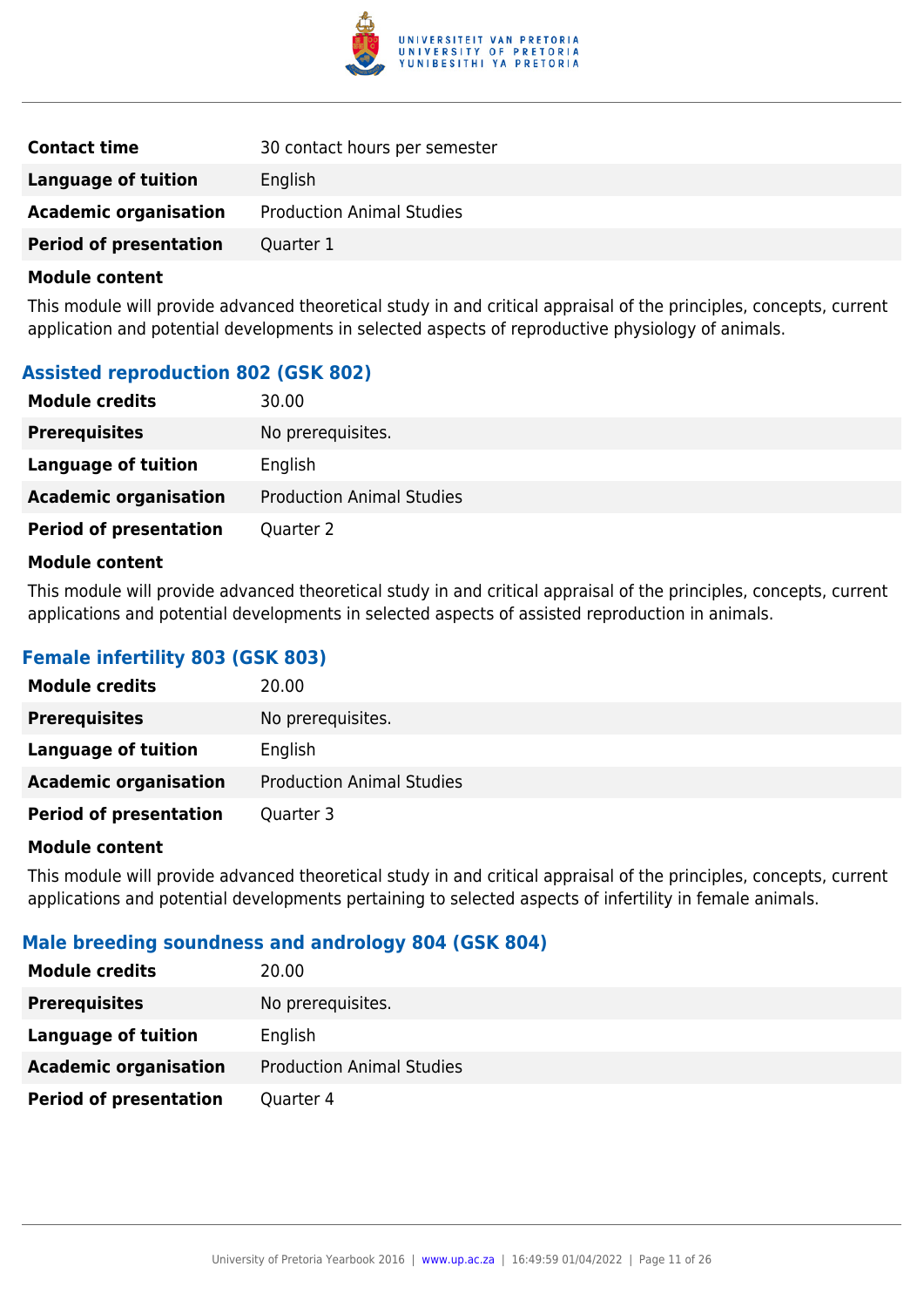

| <b>Contact time</b>           | 30 contact hours per semester    |
|-------------------------------|----------------------------------|
| Language of tuition           | English                          |
| <b>Academic organisation</b>  | <b>Production Animal Studies</b> |
| <b>Period of presentation</b> | Quarter 1                        |

This module will provide advanced theoretical study in and critical appraisal of the principles, concepts, current application and potential developments in selected aspects of reproductive physiology of animals.

## **Assisted reproduction 802 (GSK 802)**

| <b>Module credits</b>         | 30.00                            |
|-------------------------------|----------------------------------|
| <b>Prerequisites</b>          | No prerequisites.                |
| Language of tuition           | English                          |
| <b>Academic organisation</b>  | <b>Production Animal Studies</b> |
| <b>Period of presentation</b> | Quarter 2                        |

#### **Module content**

This module will provide advanced theoretical study in and critical appraisal of the principles, concepts, current applications and potential developments in selected aspects of assisted reproduction in animals.

## **Female infertility 803 (GSK 803)**

| <b>Module credits</b>         | 20.00                            |
|-------------------------------|----------------------------------|
| <b>Prerequisites</b>          | No prerequisites.                |
| Language of tuition           | English                          |
| <b>Academic organisation</b>  | <b>Production Animal Studies</b> |
| <b>Period of presentation</b> | Quarter 3                        |

#### **Module content**

This module will provide advanced theoretical study in and critical appraisal of the principles, concepts, current applications and potential developments pertaining to selected aspects of infertility in female animals.

## **Male breeding soundness and andrology 804 (GSK 804)**

| <b>Module credits</b>         | 20.00                            |
|-------------------------------|----------------------------------|
| <b>Prerequisites</b>          | No prerequisites.                |
| Language of tuition           | English                          |
| <b>Academic organisation</b>  | <b>Production Animal Studies</b> |
| <b>Period of presentation</b> | Quarter 4                        |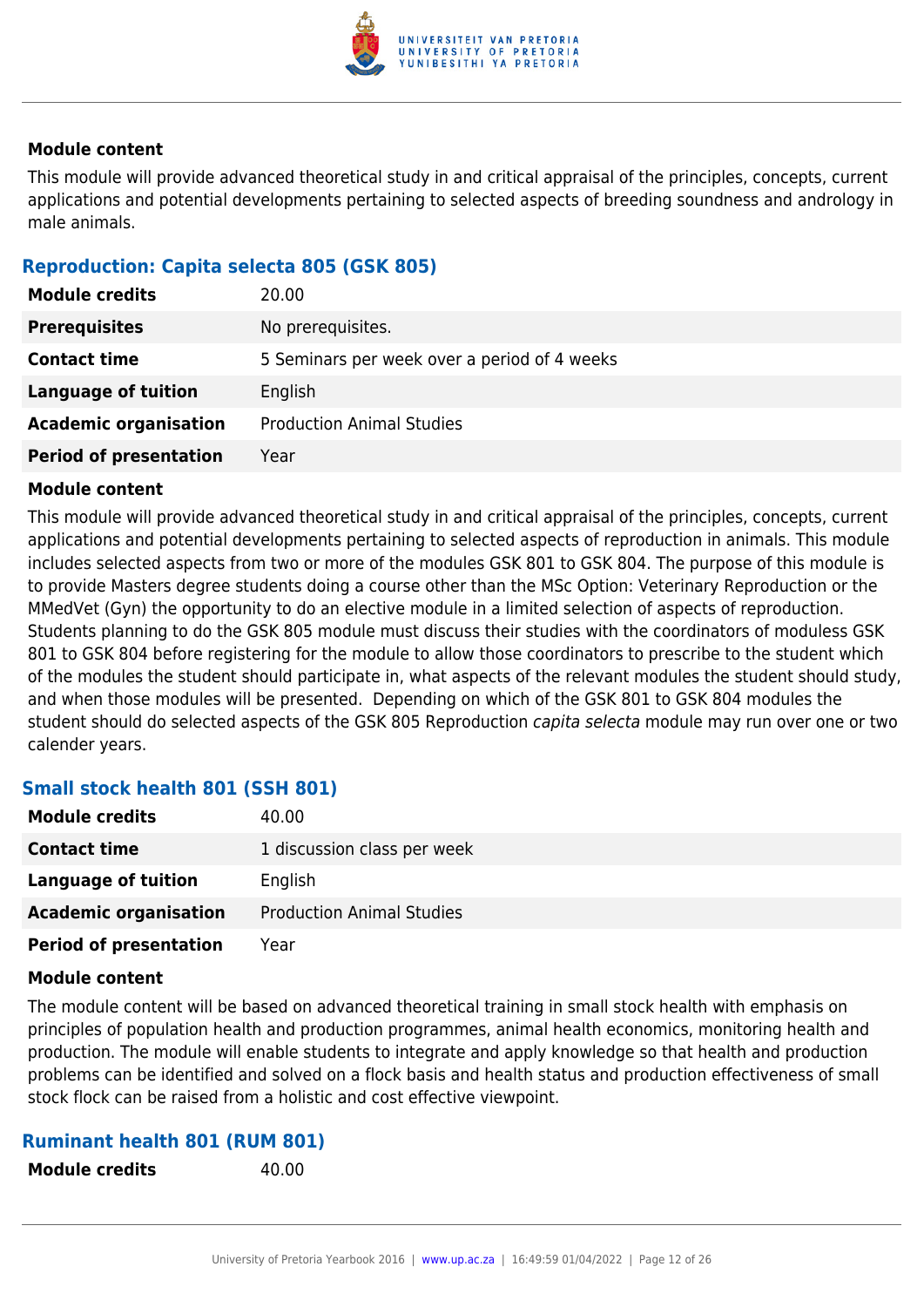

This module will provide advanced theoretical study in and critical appraisal of the principles, concepts, current applications and potential developments pertaining to selected aspects of breeding soundness and andrology in male animals.

## **Reproduction: Capita selecta 805 (GSK 805)**

| <b>Module credits</b>         | 20.00                                        |  |
|-------------------------------|----------------------------------------------|--|
| <b>Prerequisites</b>          | No prerequisites.                            |  |
| <b>Contact time</b>           | 5 Seminars per week over a period of 4 weeks |  |
| Language of tuition           | English                                      |  |
| <b>Academic organisation</b>  | <b>Production Animal Studies</b>             |  |
| <b>Period of presentation</b> | Year                                         |  |

### **Module content**

This module will provide advanced theoretical study in and critical appraisal of the principles, concepts, current applications and potential developments pertaining to selected aspects of reproduction in animals. This module includes selected aspects from two or more of the modules GSK 801 to GSK 804. The purpose of this module is to provide Masters degree students doing a course other than the MSc Option: Veterinary Reproduction or the MMedVet (Gyn) the opportunity to do an elective module in a limited selection of aspects of reproduction. Students planning to do the GSK 805 module must discuss their studies with the coordinators of moduless GSK 801 to GSK 804 before registering for the module to allow those coordinators to prescribe to the student which of the modules the student should participate in, what aspects of the relevant modules the student should study, and when those modules will be presented. Depending on which of the GSK 801 to GSK 804 modules the student should do selected aspects of the GSK 805 Reproduction capita selecta module may run over one or two calender years.

## **Small stock health 801 (SSH 801)**

| <b>Module credits</b>         | 40.00                            |
|-------------------------------|----------------------------------|
| <b>Contact time</b>           | 1 discussion class per week      |
| Language of tuition           | English                          |
| <b>Academic organisation</b>  | <b>Production Animal Studies</b> |
| <b>Period of presentation</b> | Year                             |

#### **Module content**

The module content will be based on advanced theoretical training in small stock health with emphasis on principles of population health and production programmes, animal health economics, monitoring health and production. The module will enable students to integrate and apply knowledge so that health and production problems can be identified and solved on a flock basis and health status and production effectiveness of small stock flock can be raised from a holistic and cost effective viewpoint.

#### **Ruminant health 801 (RUM 801)**

**Module credits** 40.00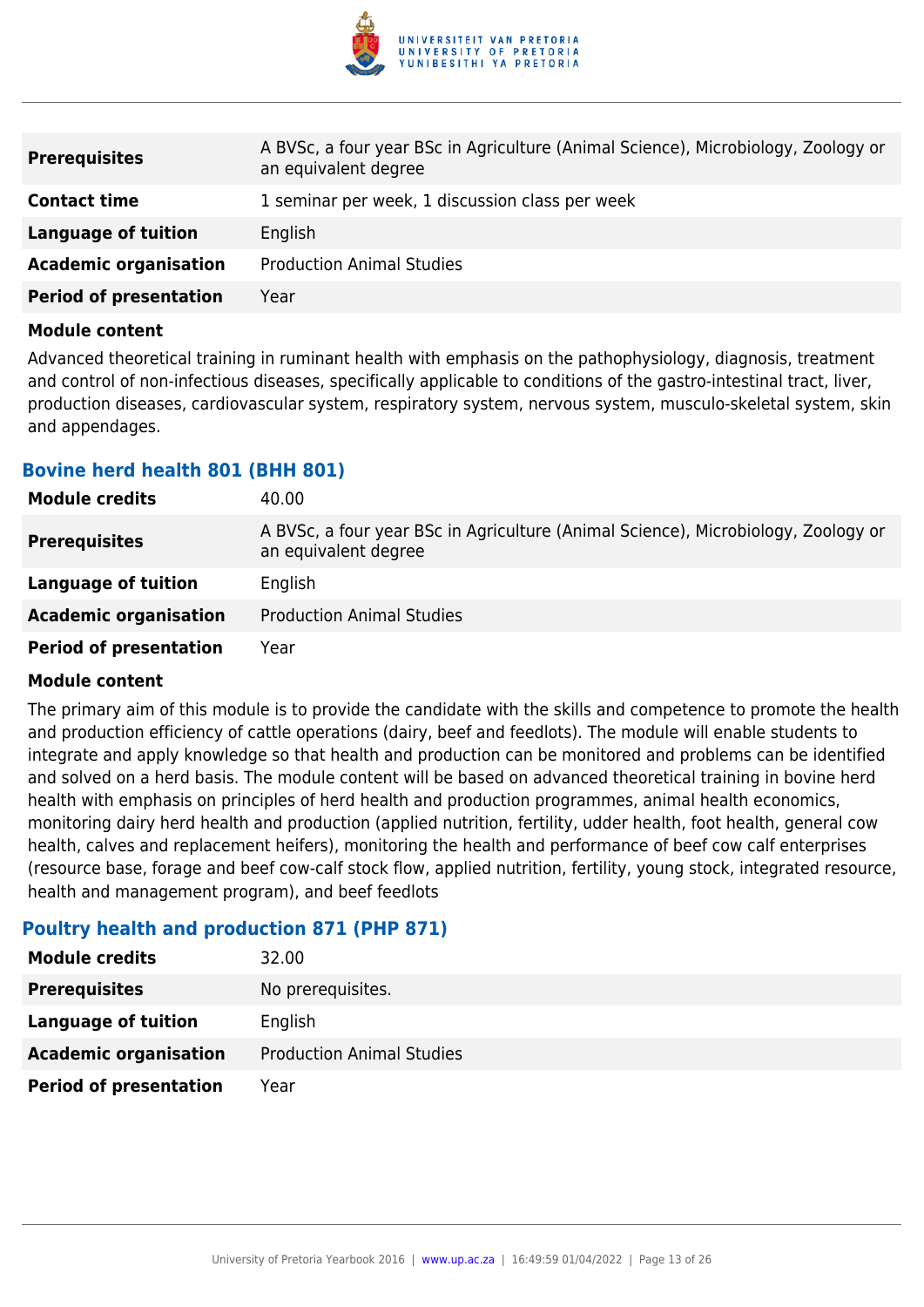

| <b>Prerequisites</b>          | A BVSc, a four year BSc in Agriculture (Animal Science), Microbiology, Zoology or<br>an equivalent degree |  |
|-------------------------------|-----------------------------------------------------------------------------------------------------------|--|
| <b>Contact time</b>           | 1 seminar per week, 1 discussion class per week                                                           |  |
| Language of tuition           | English                                                                                                   |  |
| <b>Academic organisation</b>  | <b>Production Animal Studies</b>                                                                          |  |
| <b>Period of presentation</b> | Year                                                                                                      |  |

Advanced theoretical training in ruminant health with emphasis on the pathophysiology, diagnosis, treatment and control of non-infectious diseases, specifically applicable to conditions of the gastro-intestinal tract, liver, production diseases, cardiovascular system, respiratory system, nervous system, musculo-skeletal system, skin and appendages.

### **Bovine herd health 801 (BHH 801)**

| <b>Module credits</b>         | 40.00                                                                                                     |  |
|-------------------------------|-----------------------------------------------------------------------------------------------------------|--|
| <b>Prerequisites</b>          | A BVSc, a four year BSc in Agriculture (Animal Science), Microbiology, Zoology or<br>an equivalent degree |  |
| Language of tuition           | English                                                                                                   |  |
| <b>Academic organisation</b>  | <b>Production Animal Studies</b>                                                                          |  |
| <b>Period of presentation</b> | Year                                                                                                      |  |

#### **Module content**

The primary aim of this module is to provide the candidate with the skills and competence to promote the health and production efficiency of cattle operations (dairy, beef and feedlots). The module will enable students to integrate and apply knowledge so that health and production can be monitored and problems can be identified and solved on a herd basis. The module content will be based on advanced theoretical training in bovine herd health with emphasis on principles of herd health and production programmes, animal health economics, monitoring dairy herd health and production (applied nutrition, fertility, udder health, foot health, general cow health, calves and replacement heifers), monitoring the health and performance of beef cow calf enterprises (resource base, forage and beef cow-calf stock flow, applied nutrition, fertility, young stock, integrated resource, health and management program), and beef feedlots

## **Poultry health and production 871 (PHP 871)**

| <b>Module credits</b>         | 32.00                            |
|-------------------------------|----------------------------------|
| <b>Prerequisites</b>          | No prerequisites.                |
| Language of tuition           | English                          |
| <b>Academic organisation</b>  | <b>Production Animal Studies</b> |
| <b>Period of presentation</b> | Year                             |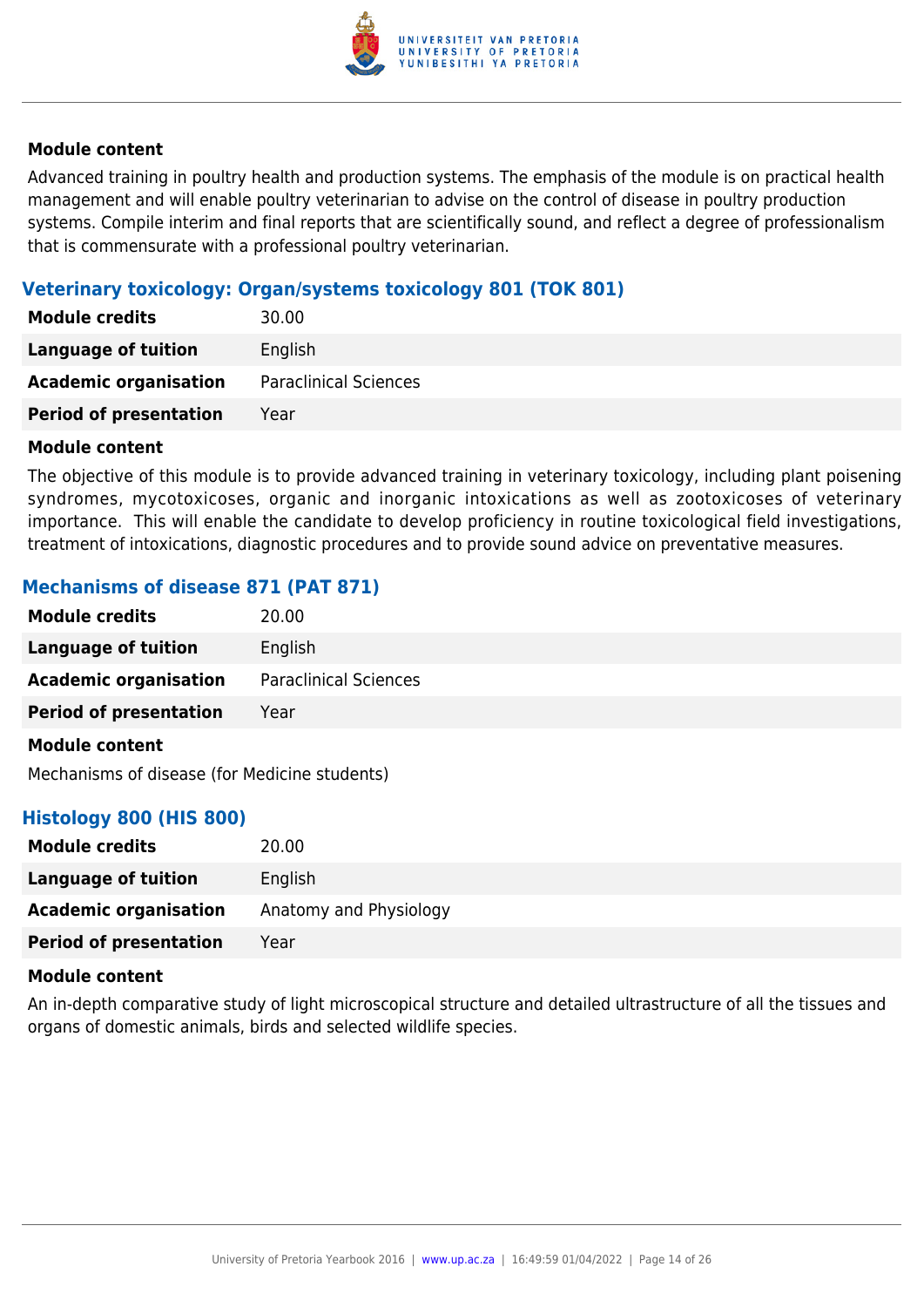

Advanced training in poultry health and production systems. The emphasis of the module is on practical health management and will enable poultry veterinarian to advise on the control of disease in poultry production systems. Compile interim and final reports that are scientifically sound, and reflect a degree of professionalism that is commensurate with a professional poultry veterinarian.

## **Veterinary toxicology: Organ/systems toxicology 801 (TOK 801)**

| <b>Module credits</b>         | 30.00                        |
|-------------------------------|------------------------------|
| <b>Language of tuition</b>    | English                      |
| <b>Academic organisation</b>  | <b>Paraclinical Sciences</b> |
| <b>Period of presentation</b> | Year                         |

#### **Module content**

The objective of this module is to provide advanced training in veterinary toxicology, including plant poisening syndromes, mycotoxicoses, organic and inorganic intoxications as well as zootoxicoses of veterinary importance. This will enable the candidate to develop proficiency in routine toxicological field investigations, treatment of intoxications, diagnostic procedures and to provide sound advice on preventative measures.

### **Mechanisms of disease 871 (PAT 871)**

| <b>Module credits</b>         | 20.00                        |
|-------------------------------|------------------------------|
| <b>Language of tuition</b>    | English                      |
| <b>Academic organisation</b>  | <b>Paraclinical Sciences</b> |
| <b>Period of presentation</b> | Year                         |
| <b>Module content</b>         |                              |

Mechanisms of disease (for Medicine students)

#### **Histology 800 (HIS 800)**

| <b>Module credits</b>         | 20.00                  |
|-------------------------------|------------------------|
| Language of tuition           | English                |
| <b>Academic organisation</b>  | Anatomy and Physiology |
| <b>Period of presentation</b> | Year                   |

#### **Module content**

An in-depth comparative study of light microscopical structure and detailed ultrastructure of all the tissues and organs of domestic animals, birds and selected wildlife species.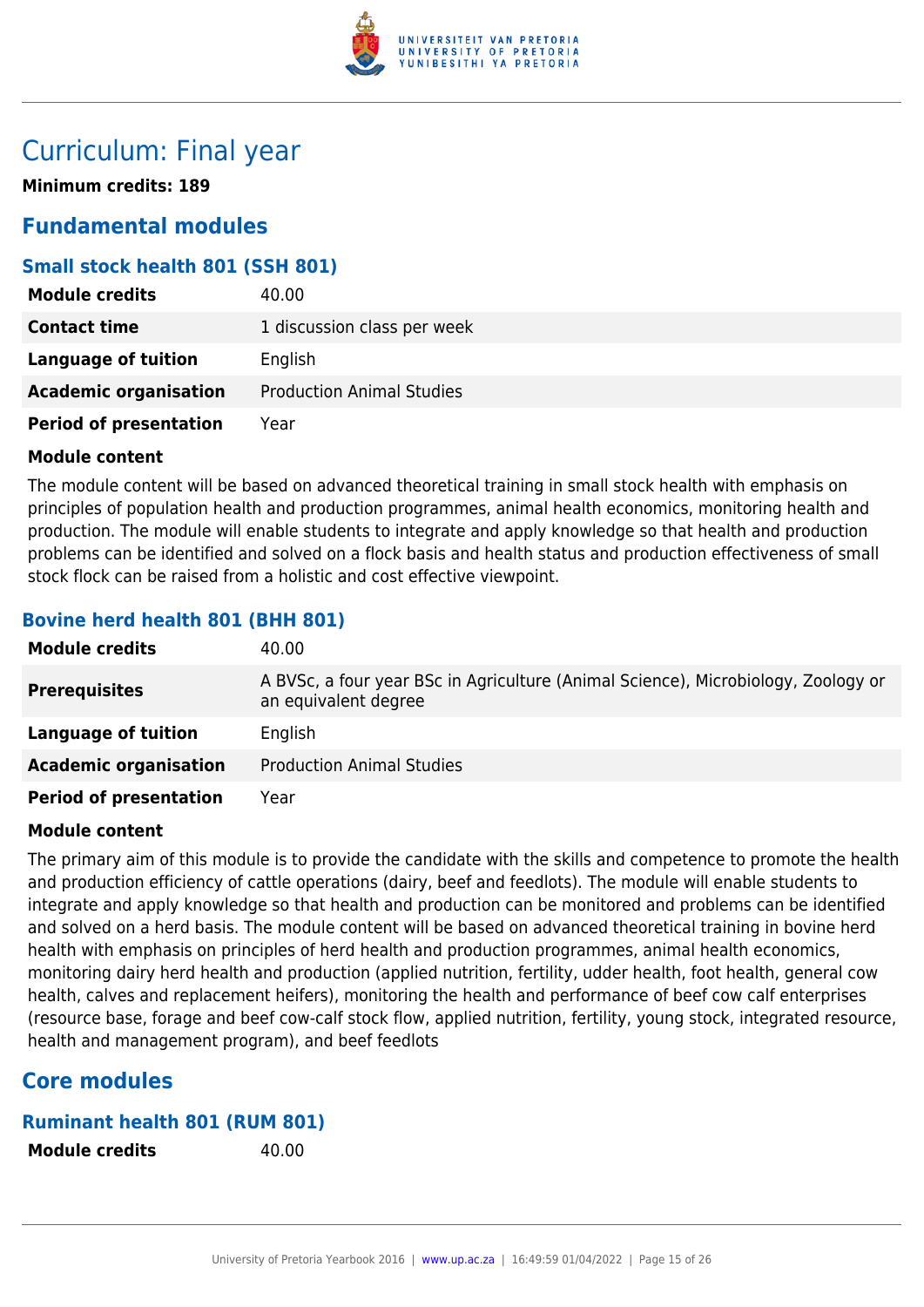

## Curriculum: Final year

**Minimum credits: 189**

## **Fundamental modules**

## **Small stock health 801 (SSH 801)**

| <b>Module credits</b>         | 40.00                            |
|-------------------------------|----------------------------------|
| <b>Contact time</b>           | 1 discussion class per week      |
| Language of tuition           | English                          |
| <b>Academic organisation</b>  | <b>Production Animal Studies</b> |
| <b>Period of presentation</b> | Year                             |

#### **Module content**

The module content will be based on advanced theoretical training in small stock health with emphasis on principles of population health and production programmes, animal health economics, monitoring health and production. The module will enable students to integrate and apply knowledge so that health and production problems can be identified and solved on a flock basis and health status and production effectiveness of small stock flock can be raised from a holistic and cost effective viewpoint.

## **Bovine herd health 801 (BHH 801)**

| <b>Module credits</b>         | 40.00                                                                                                     |
|-------------------------------|-----------------------------------------------------------------------------------------------------------|
| <b>Prerequisites</b>          | A BVSc, a four year BSc in Agriculture (Animal Science), Microbiology, Zoology or<br>an equivalent degree |
| Language of tuition           | English                                                                                                   |
| <b>Academic organisation</b>  | <b>Production Animal Studies</b>                                                                          |
| <b>Period of presentation</b> | Year                                                                                                      |

#### **Module content**

The primary aim of this module is to provide the candidate with the skills and competence to promote the health and production efficiency of cattle operations (dairy, beef and feedlots). The module will enable students to integrate and apply knowledge so that health and production can be monitored and problems can be identified and solved on a herd basis. The module content will be based on advanced theoretical training in bovine herd health with emphasis on principles of herd health and production programmes, animal health economics, monitoring dairy herd health and production (applied nutrition, fertility, udder health, foot health, general cow health, calves and replacement heifers), monitoring the health and performance of beef cow calf enterprises (resource base, forage and beef cow-calf stock flow, applied nutrition, fertility, young stock, integrated resource, health and management program), and beef feedlots

## **Core modules**

#### **Ruminant health 801 (RUM 801)**

**Module credits** 40.00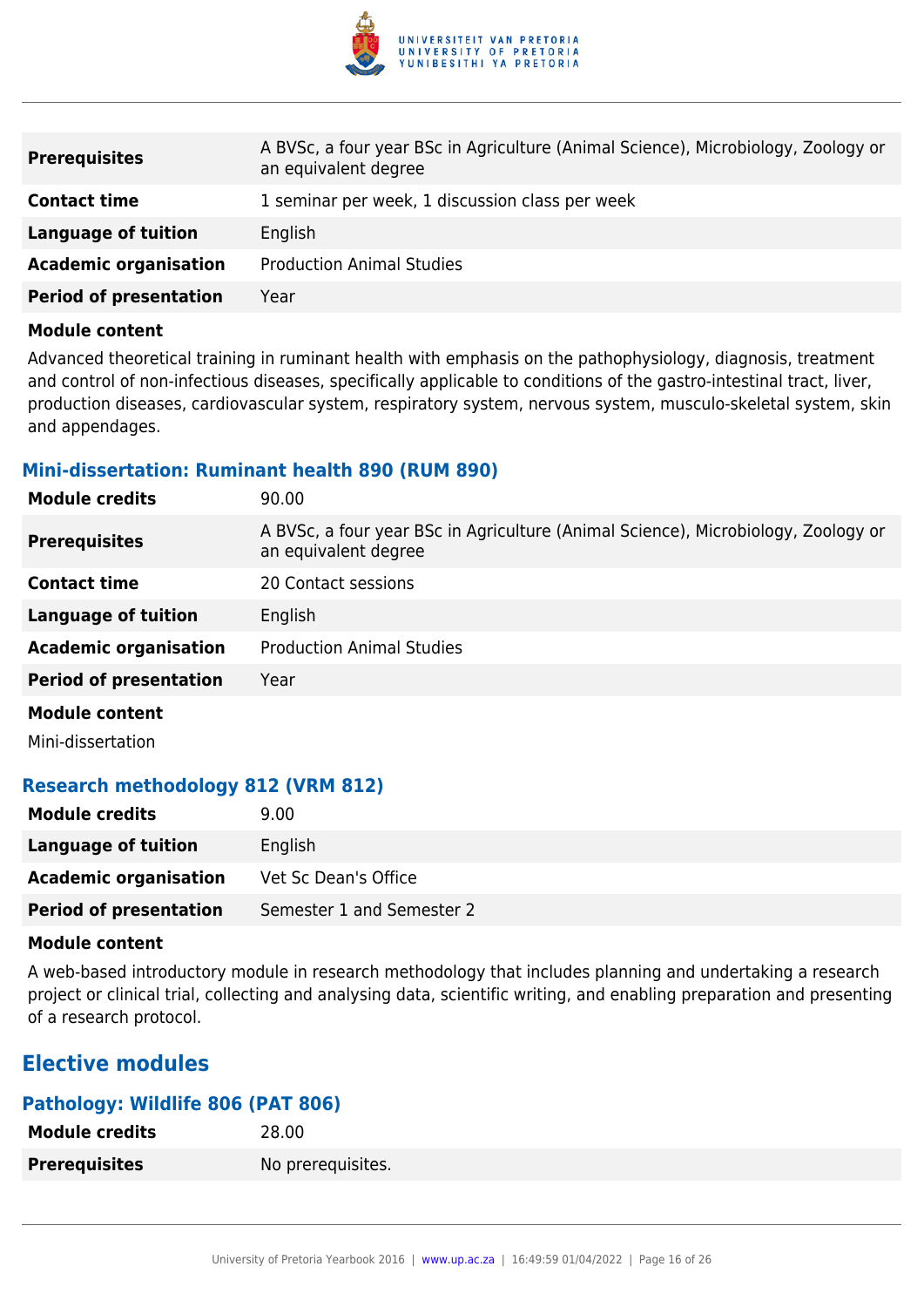

| <b>Prerequisites</b>          | A BVSc, a four year BSc in Agriculture (Animal Science), Microbiology, Zoology or<br>an equivalent degree |
|-------------------------------|-----------------------------------------------------------------------------------------------------------|
| <b>Contact time</b>           | 1 seminar per week, 1 discussion class per week                                                           |
| Language of tuition           | English                                                                                                   |
| <b>Academic organisation</b>  | <b>Production Animal Studies</b>                                                                          |
| <b>Period of presentation</b> | Year                                                                                                      |

Advanced theoretical training in ruminant health with emphasis on the pathophysiology, diagnosis, treatment and control of non-infectious diseases, specifically applicable to conditions of the gastro-intestinal tract, liver, production diseases, cardiovascular system, respiratory system, nervous system, musculo-skeletal system, skin and appendages.

#### **Mini-dissertation: Ruminant health 890 (RUM 890)**

| <b>Module credits</b>         | 90.00                                                                                                     |
|-------------------------------|-----------------------------------------------------------------------------------------------------------|
| <b>Prerequisites</b>          | A BVSc, a four year BSc in Agriculture (Animal Science), Microbiology, Zoology or<br>an equivalent degree |
| <b>Contact time</b>           | 20 Contact sessions                                                                                       |
| <b>Language of tuition</b>    | English                                                                                                   |
| <b>Academic organisation</b>  | <b>Production Animal Studies</b>                                                                          |
| <b>Period of presentation</b> | Year                                                                                                      |
| <b>Module content</b>         |                                                                                                           |
|                               |                                                                                                           |

Mini-dissertation

## **Research methodology 812 (VRM 812)**

| <b>Module credits</b>         | 9.00                      |
|-------------------------------|---------------------------|
| Language of tuition           | English                   |
| <b>Academic organisation</b>  | Vet Sc Dean's Office      |
| <b>Period of presentation</b> | Semester 1 and Semester 2 |

#### **Module content**

A web-based introductory module in research methodology that includes planning and undertaking a research project or clinical trial, collecting and analysing data, scientific writing, and enabling preparation and presenting of a research protocol.

## **Elective modules**

## **Pathology: Wildlife 806 (PAT 806)**

| <b>Module credits</b> | 28.00             |
|-----------------------|-------------------|
| <b>Prerequisites</b>  | No prerequisites. |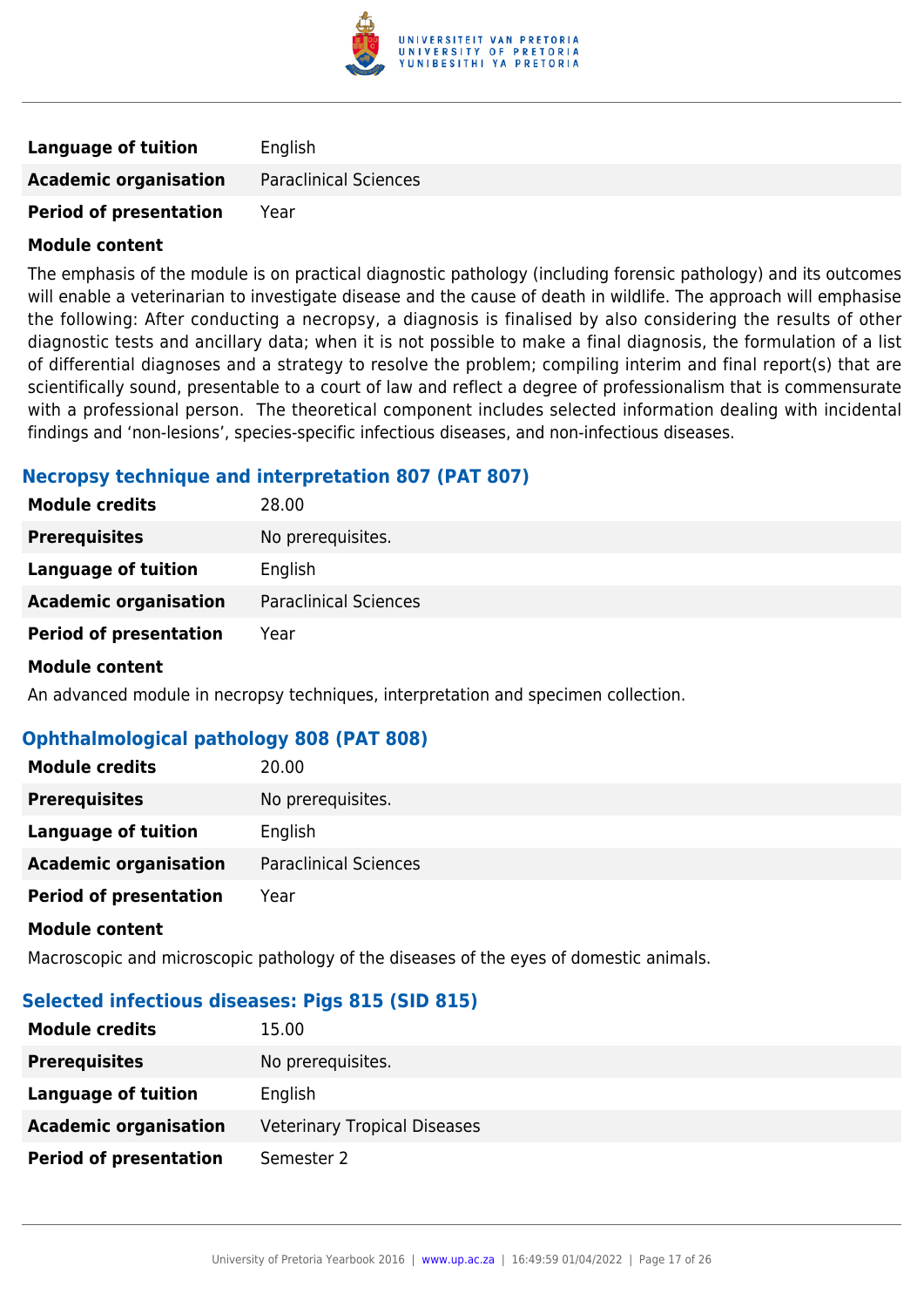

| <b>Language of tuition</b>    | English                      |
|-------------------------------|------------------------------|
| <b>Academic organisation</b>  | <b>Paraclinical Sciences</b> |
| <b>Period of presentation</b> | Year                         |

The emphasis of the module is on practical diagnostic pathology (including forensic pathology) and its outcomes will enable a veterinarian to investigate disease and the cause of death in wildlife. The approach will emphasise the following: After conducting a necropsy, a diagnosis is finalised by also considering the results of other diagnostic tests and ancillary data; when it is not possible to make a final diagnosis, the formulation of a list of differential diagnoses and a strategy to resolve the problem; compiling interim and final report(s) that are scientifically sound, presentable to a court of law and reflect a degree of professionalism that is commensurate with a professional person. The theoretical component includes selected information dealing with incidental findings and 'non-lesions', species-specific infectious diseases, and non-infectious diseases.

#### **Necropsy technique and interpretation 807 (PAT 807)**

| <b>Module credits</b>         | 28.00                        |
|-------------------------------|------------------------------|
| <b>Prerequisites</b>          | No prerequisites.            |
| Language of tuition           | English                      |
| <b>Academic organisation</b>  | <b>Paraclinical Sciences</b> |
| <b>Period of presentation</b> | Year                         |
| <b>Module content</b>         |                              |

An advanced module in necropsy techniques, interpretation and specimen collection.

## **Ophthalmological pathology 808 (PAT 808)**

| <b>Module credits</b>         | 20.00                        |
|-------------------------------|------------------------------|
| <b>Prerequisites</b>          | No prerequisites.            |
| Language of tuition           | English                      |
| <b>Academic organisation</b>  | <b>Paraclinical Sciences</b> |
| <b>Period of presentation</b> | Year                         |

#### **Module content**

Macroscopic and microscopic pathology of the diseases of the eyes of domestic animals.

## **Selected infectious diseases: Pigs 815 (SID 815)**

| <b>Module credits</b>         | 15.00                               |
|-------------------------------|-------------------------------------|
| <b>Prerequisites</b>          | No prerequisites.                   |
| <b>Language of tuition</b>    | English                             |
| <b>Academic organisation</b>  | <b>Veterinary Tropical Diseases</b> |
| <b>Period of presentation</b> | Semester 2                          |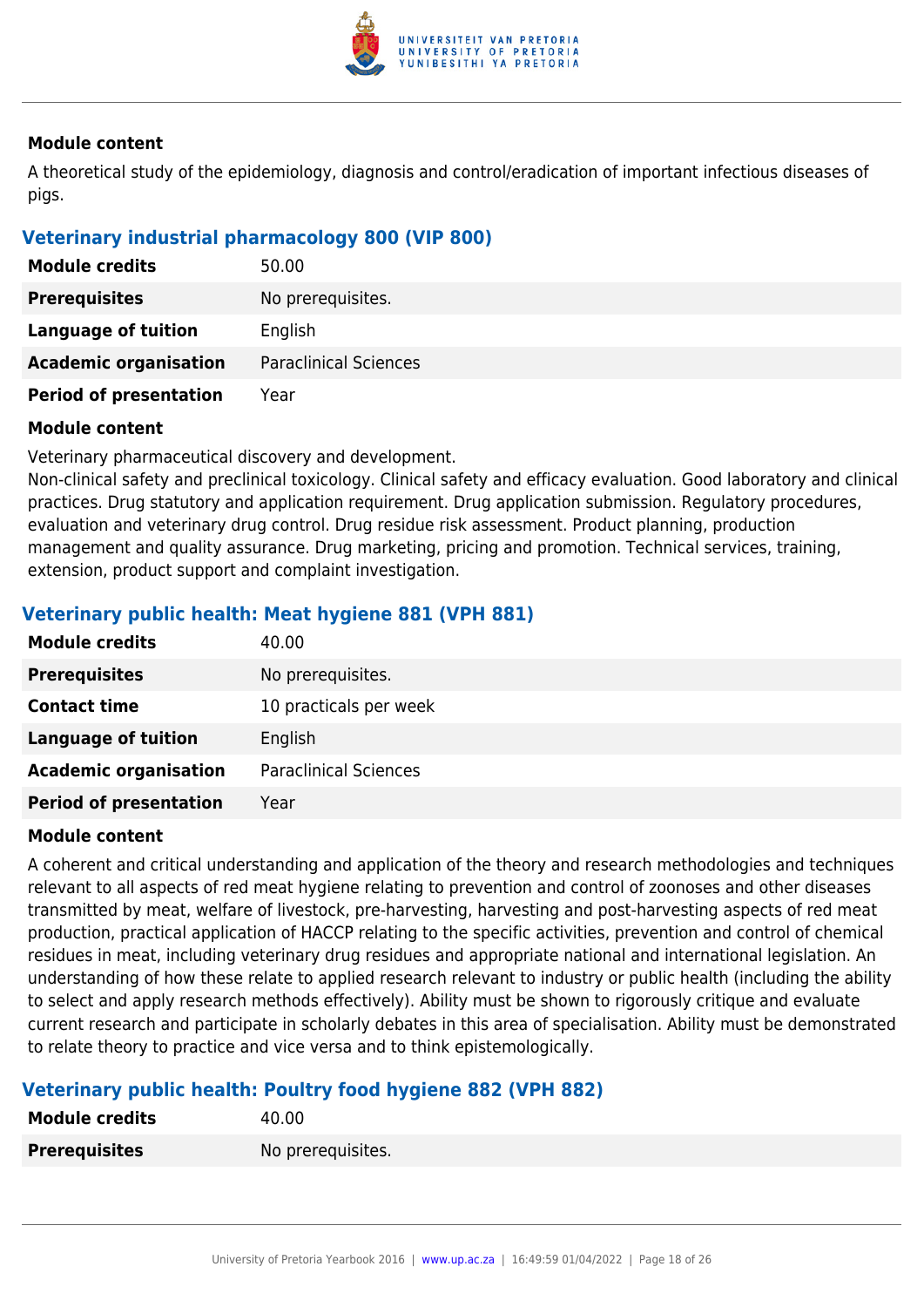

A theoretical study of the epidemiology, diagnosis and control/eradication of important infectious diseases of pigs.

## **Veterinary industrial pharmacology 800 (VIP 800)**

| <b>Module credits</b>         | 50.00                        |
|-------------------------------|------------------------------|
| <b>Prerequisites</b>          | No prerequisites.            |
| Language of tuition           | English                      |
| <b>Academic organisation</b>  | <b>Paraclinical Sciences</b> |
| <b>Period of presentation</b> | Year                         |

#### **Module content**

Veterinary pharmaceutical discovery and development.

Non-clinical safety and preclinical toxicology. Clinical safety and efficacy evaluation. Good laboratory and clinical practices. Drug statutory and application requirement. Drug application submission. Regulatory procedures, evaluation and veterinary drug control. Drug residue risk assessment. Product planning, production management and quality assurance. Drug marketing, pricing and promotion. Technical services, training, extension, product support and complaint investigation.

## **Veterinary public health: Meat hygiene 881 (VPH 881)**

| <b>Module credits</b>         | 40.00                        |
|-------------------------------|------------------------------|
| <b>Prerequisites</b>          | No prerequisites.            |
| <b>Contact time</b>           | 10 practicals per week       |
| <b>Language of tuition</b>    | English                      |
| <b>Academic organisation</b>  | <b>Paraclinical Sciences</b> |
| <b>Period of presentation</b> | Year                         |

#### **Module content**

A coherent and critical understanding and application of the theory and research methodologies and techniques relevant to all aspects of red meat hygiene relating to prevention and control of zoonoses and other diseases transmitted by meat, welfare of livestock, pre-harvesting, harvesting and post-harvesting aspects of red meat production, practical application of HACCP relating to the specific activities, prevention and control of chemical residues in meat, including veterinary drug residues and appropriate national and international legislation. An understanding of how these relate to applied research relevant to industry or public health (including the ability to select and apply research methods effectively). Ability must be shown to rigorously critique and evaluate current research and participate in scholarly debates in this area of specialisation. Ability must be demonstrated to relate theory to practice and vice versa and to think epistemologically.

## **Veterinary public health: Poultry food hygiene 882 (VPH 882)**

| <b>Module credits</b> | 40.00             |
|-----------------------|-------------------|
| <b>Prerequisites</b>  | No prerequisites. |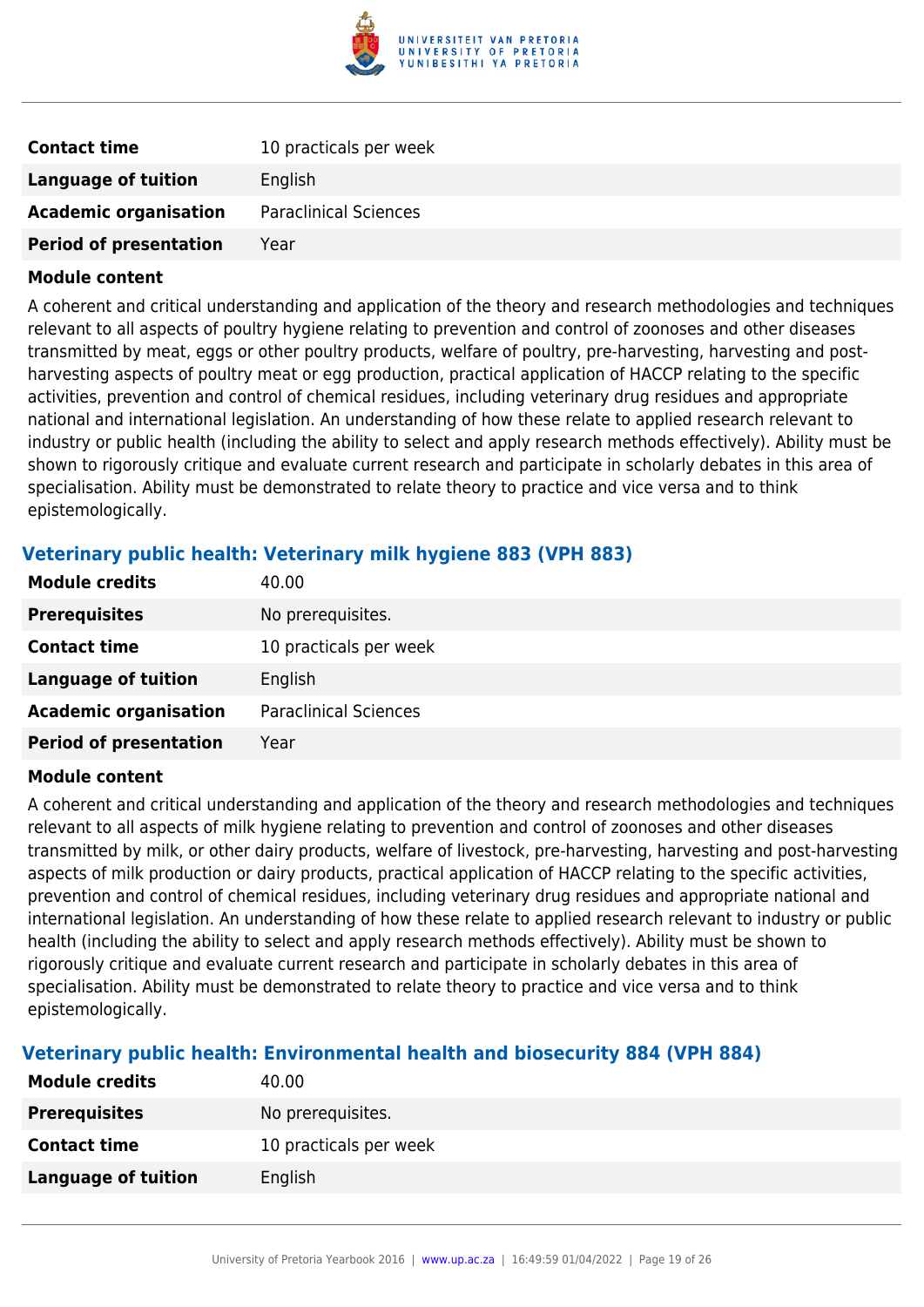

| <b>Contact time</b>           | 10 practicals per week       |
|-------------------------------|------------------------------|
| Language of tuition           | English                      |
| <b>Academic organisation</b>  | <b>Paraclinical Sciences</b> |
| <b>Period of presentation</b> | Year                         |

A coherent and critical understanding and application of the theory and research methodologies and techniques relevant to all aspects of poultry hygiene relating to prevention and control of zoonoses and other diseases transmitted by meat, eggs or other poultry products, welfare of poultry, pre-harvesting, harvesting and postharvesting aspects of poultry meat or egg production, practical application of HACCP relating to the specific activities, prevention and control of chemical residues, including veterinary drug residues and appropriate national and international legislation. An understanding of how these relate to applied research relevant to industry or public health (including the ability to select and apply research methods effectively). Ability must be shown to rigorously critique and evaluate current research and participate in scholarly debates in this area of specialisation. Ability must be demonstrated to relate theory to practice and vice versa and to think epistemologically.

## **Veterinary public health: Veterinary milk hygiene 883 (VPH 883)**

| <b>Module credits</b>         | 40.00                        |
|-------------------------------|------------------------------|
| <b>Prerequisites</b>          | No prerequisites.            |
| <b>Contact time</b>           | 10 practicals per week       |
| <b>Language of tuition</b>    | English                      |
| <b>Academic organisation</b>  | <b>Paraclinical Sciences</b> |
| <b>Period of presentation</b> | Year                         |
|                               |                              |

#### **Module content**

A coherent and critical understanding and application of the theory and research methodologies and techniques relevant to all aspects of milk hygiene relating to prevention and control of zoonoses and other diseases transmitted by milk, or other dairy products, welfare of livestock, pre-harvesting, harvesting and post-harvesting aspects of milk production or dairy products, practical application of HACCP relating to the specific activities, prevention and control of chemical residues, including veterinary drug residues and appropriate national and international legislation. An understanding of how these relate to applied research relevant to industry or public health (including the ability to select and apply research methods effectively). Ability must be shown to rigorously critique and evaluate current research and participate in scholarly debates in this area of specialisation. Ability must be demonstrated to relate theory to practice and vice versa and to think epistemologically.

## **Veterinary public health: Environmental health and biosecurity 884 (VPH 884)**

| <b>Module credits</b> | 40.00                  |
|-----------------------|------------------------|
| <b>Prerequisites</b>  | No prerequisites.      |
| <b>Contact time</b>   | 10 practicals per week |
| Language of tuition   | English                |
|                       |                        |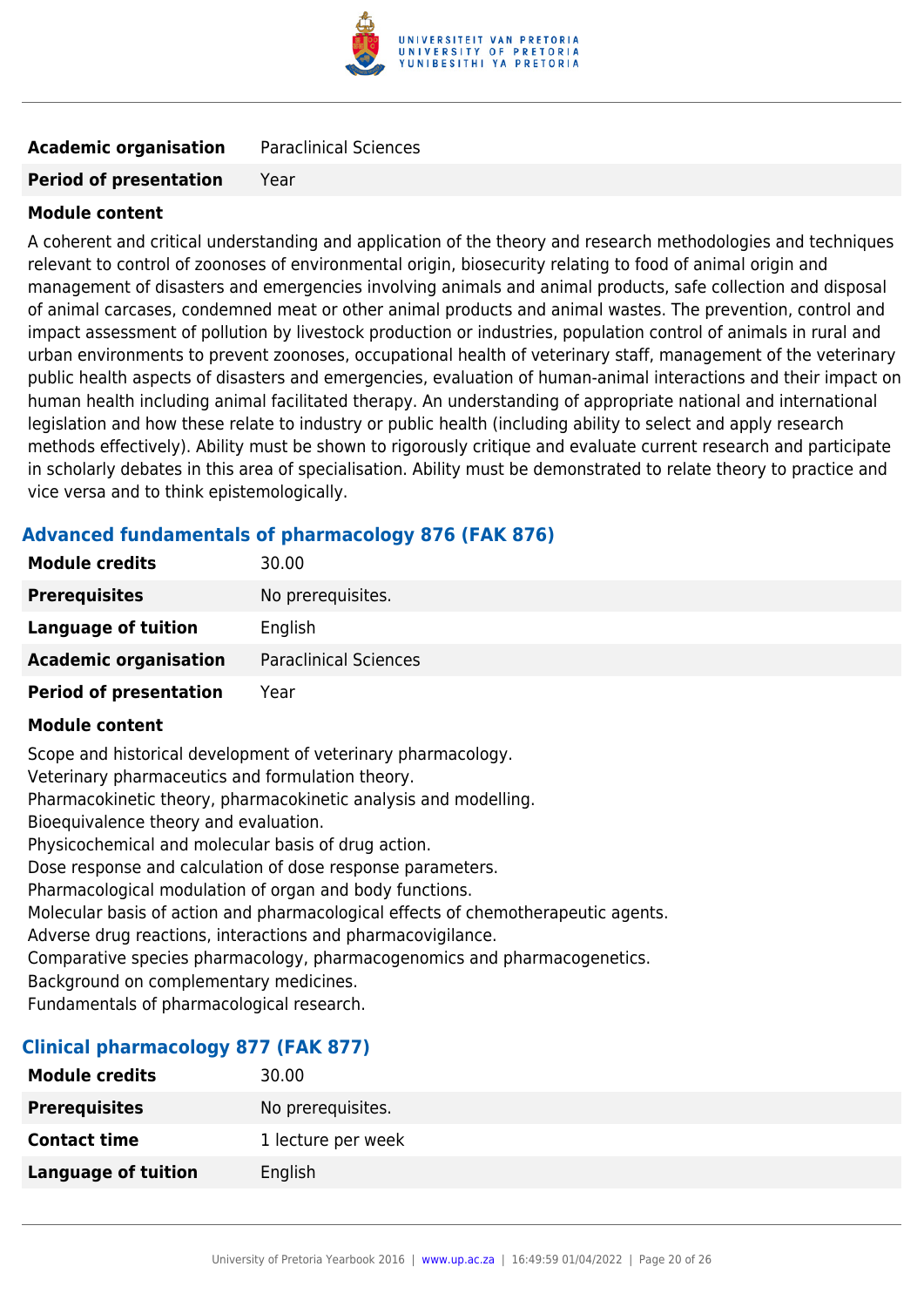

## **Academic organisation** Paraclinical Sciences

#### **Period of presentation** Year

#### **Module content**

A coherent and critical understanding and application of the theory and research methodologies and techniques relevant to control of zoonoses of environmental origin, biosecurity relating to food of animal origin and management of disasters and emergencies involving animals and animal products, safe collection and disposal of animal carcases, condemned meat or other animal products and animal wastes. The prevention, control and impact assessment of pollution by livestock production or industries, population control of animals in rural and urban environments to prevent zoonoses, occupational health of veterinary staff, management of the veterinary public health aspects of disasters and emergencies, evaluation of human-animal interactions and their impact on human health including animal facilitated therapy. An understanding of appropriate national and international legislation and how these relate to industry or public health (including ability to select and apply research methods effectively). Ability must be shown to rigorously critique and evaluate current research and participate in scholarly debates in this area of specialisation. Ability must be demonstrated to relate theory to practice and vice versa and to think epistemologically.

## **Advanced fundamentals of pharmacology 876 (FAK 876)**

| <b>Module credits</b>         | 30.00                        |
|-------------------------------|------------------------------|
| <b>Prerequisites</b>          | No prerequisites.            |
| Language of tuition           | English                      |
| <b>Academic organisation</b>  | <b>Paraclinical Sciences</b> |
| <b>Period of presentation</b> | Year                         |

#### **Module content**

Scope and historical development of veterinary pharmacology. Veterinary pharmaceutics and formulation theory. Pharmacokinetic theory, pharmacokinetic analysis and modelling. Bioequivalence theory and evaluation. Physicochemical and molecular basis of drug action. Dose response and calculation of dose response parameters. Pharmacological modulation of organ and body functions. Molecular basis of action and pharmacological effects of chemotherapeutic agents. Adverse drug reactions, interactions and pharmacovigilance. Comparative species pharmacology, pharmacogenomics and pharmacogenetics. Background on complementary medicines.

Fundamentals of pharmacological research.

#### **Clinical pharmacology 877 (FAK 877)**

| <b>Module credits</b> | 30.00              |
|-----------------------|--------------------|
| <b>Prerequisites</b>  | No prerequisites.  |
| <b>Contact time</b>   | 1 lecture per week |
| Language of tuition   | English            |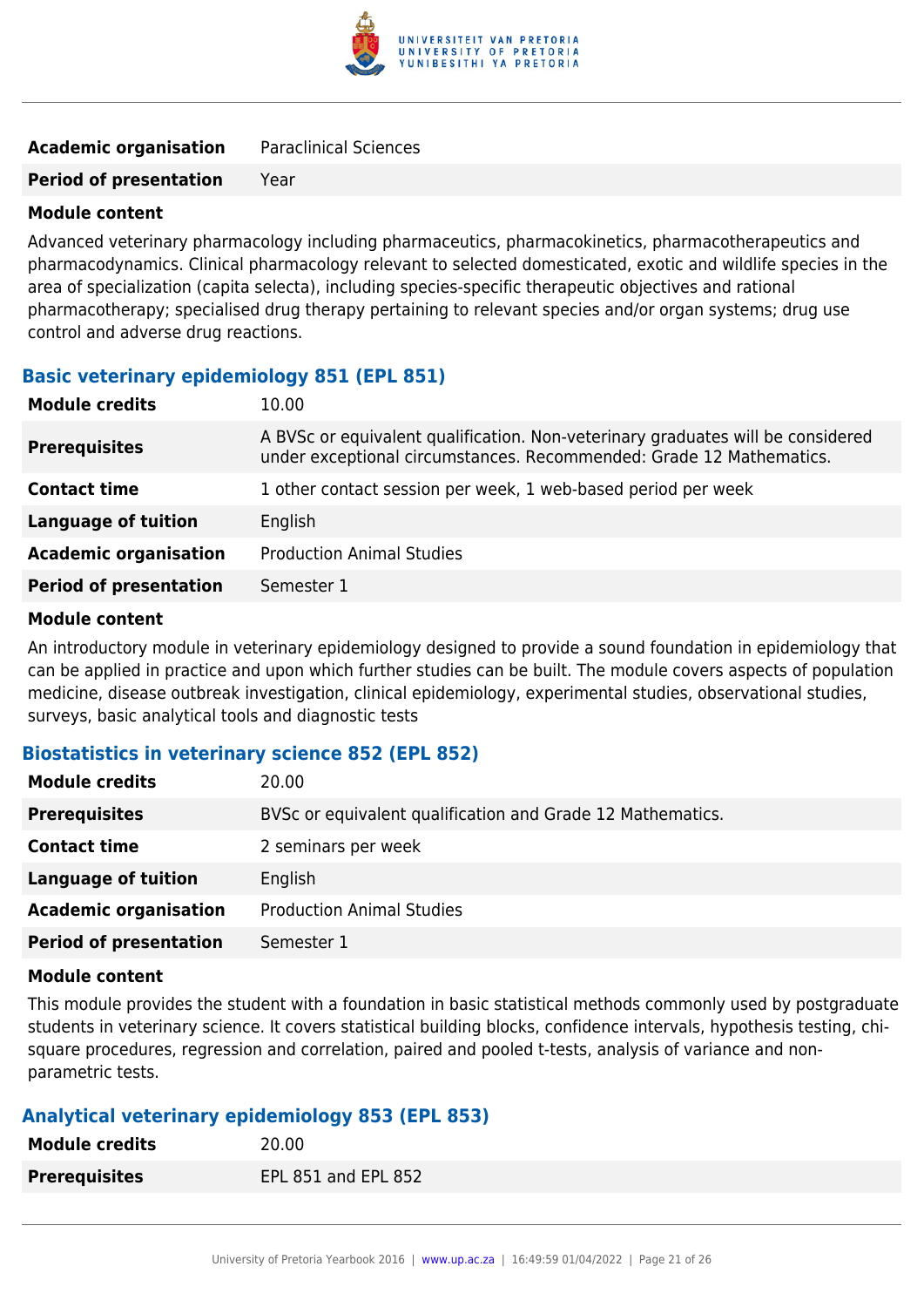

| <b>Academic organisation</b> | <b>Paraclinical Sciences</b> |
|------------------------------|------------------------------|
|                              |                              |

**Period of presentation** Year

#### **Module content**

Advanced veterinary pharmacology including pharmaceutics, pharmacokinetics, pharmacotherapeutics and pharmacodynamics. Clinical pharmacology relevant to selected domesticated, exotic and wildlife species in the area of specialization (capita selecta), including species-specific therapeutic objectives and rational pharmacotherapy; specialised drug therapy pertaining to relevant species and/or organ systems; drug use control and adverse drug reactions.

#### **Basic veterinary epidemiology 851 (EPL 851)**

| <b>Module credits</b>         | 10.00                                                                                                                                                  |
|-------------------------------|--------------------------------------------------------------------------------------------------------------------------------------------------------|
| <b>Prerequisites</b>          | A BVSc or equivalent qualification. Non-veterinary graduates will be considered<br>under exceptional circumstances. Recommended: Grade 12 Mathematics. |
| <b>Contact time</b>           | 1 other contact session per week, 1 web-based period per week                                                                                          |
| <b>Language of tuition</b>    | English                                                                                                                                                |
| <b>Academic organisation</b>  | <b>Production Animal Studies</b>                                                                                                                       |
| <b>Period of presentation</b> | Semester 1                                                                                                                                             |
|                               |                                                                                                                                                        |

#### **Module content**

An introductory module in veterinary epidemiology designed to provide a sound foundation in epidemiology that can be applied in practice and upon which further studies can be built. The module covers aspects of population medicine, disease outbreak investigation, clinical epidemiology, experimental studies, observational studies, surveys, basic analytical tools and diagnostic tests

## **Biostatistics in veterinary science 852 (EPL 852)**

| <b>Module credits</b>         | 20.00                                                      |
|-------------------------------|------------------------------------------------------------|
| <b>Prerequisites</b>          | BVSc or equivalent qualification and Grade 12 Mathematics. |
| <b>Contact time</b>           | 2 seminars per week                                        |
| <b>Language of tuition</b>    | English                                                    |
| <b>Academic organisation</b>  | <b>Production Animal Studies</b>                           |
| <b>Period of presentation</b> | Semester 1                                                 |

#### **Module content**

This module provides the student with a foundation in basic statistical methods commonly used by postgraduate students in veterinary science. It covers statistical building blocks, confidence intervals, hypothesis testing, chisquare procedures, regression and correlation, paired and pooled t-tests, analysis of variance and nonparametric tests.

## **Analytical veterinary epidemiology 853 (EPL 853)**

| <b>Module credits</b> | 20.00               |
|-----------------------|---------------------|
| <b>Prerequisites</b>  | EPL 851 and EPL 852 |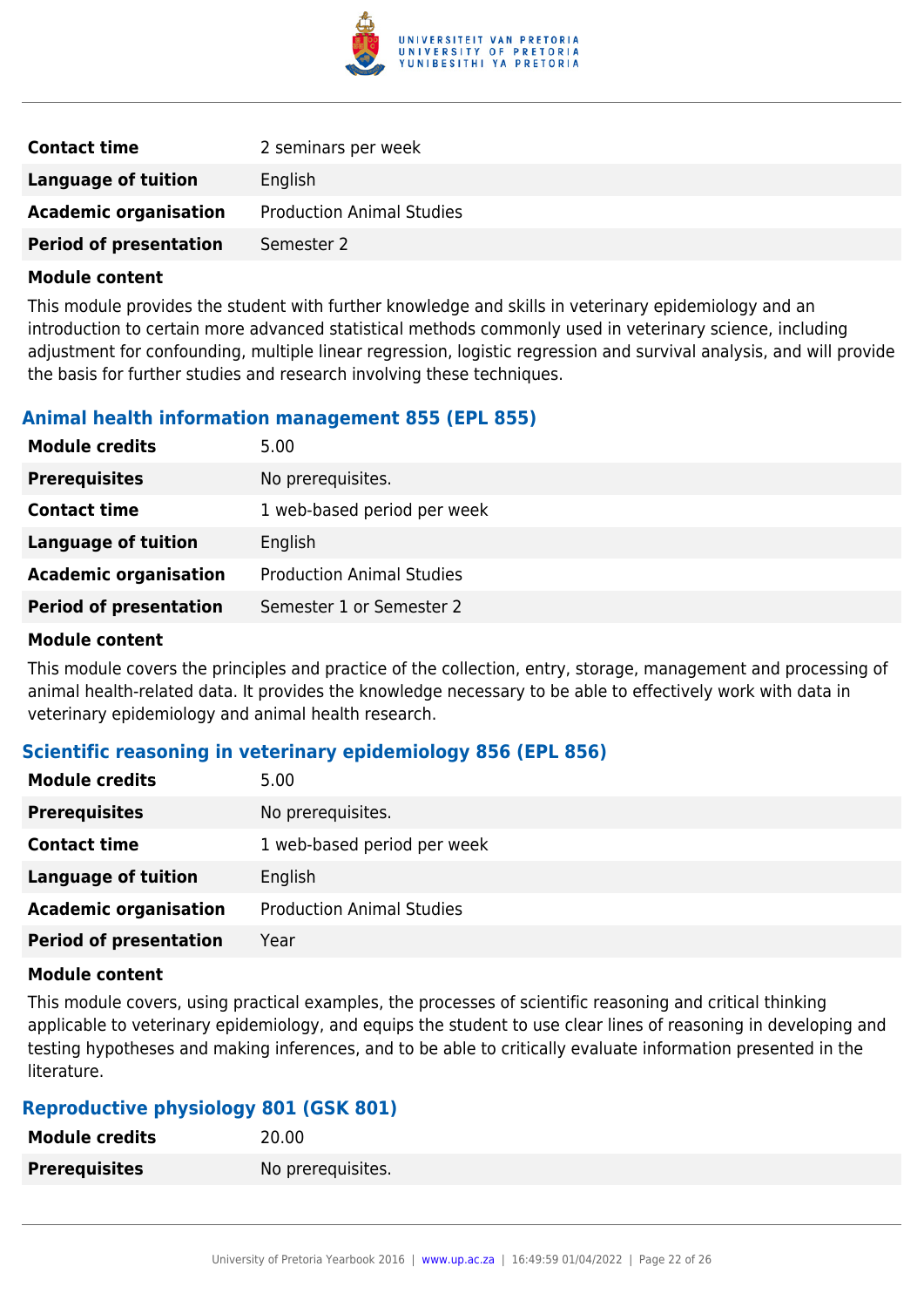

| <b>Contact time</b>           | 2 seminars per week              |
|-------------------------------|----------------------------------|
| Language of tuition           | English                          |
| <b>Academic organisation</b>  | <b>Production Animal Studies</b> |
| <b>Period of presentation</b> | Semester 2                       |

This module provides the student with further knowledge and skills in veterinary epidemiology and an introduction to certain more advanced statistical methods commonly used in veterinary science, including adjustment for confounding, multiple linear regression, logistic regression and survival analysis, and will provide the basis for further studies and research involving these techniques.

## **Animal health information management 855 (EPL 855)**

| <b>Module credits</b>         | 5.00                             |
|-------------------------------|----------------------------------|
| <b>Prerequisites</b>          | No prerequisites.                |
| <b>Contact time</b>           | 1 web-based period per week      |
| <b>Language of tuition</b>    | English                          |
| <b>Academic organisation</b>  | <b>Production Animal Studies</b> |
| <b>Period of presentation</b> | Semester 1 or Semester 2         |
|                               |                                  |

#### **Module content**

This module covers the principles and practice of the collection, entry, storage, management and processing of animal health-related data. It provides the knowledge necessary to be able to effectively work with data in veterinary epidemiology and animal health research.

## **Scientific reasoning in veterinary epidemiology 856 (EPL 856)**

| <b>Module credits</b>         | 5.00                             |
|-------------------------------|----------------------------------|
| <b>Prerequisites</b>          | No prerequisites.                |
| <b>Contact time</b>           | 1 web-based period per week      |
| <b>Language of tuition</b>    | English                          |
| <b>Academic organisation</b>  | <b>Production Animal Studies</b> |
| <b>Period of presentation</b> | Year                             |

#### **Module content**

This module covers, using practical examples, the processes of scientific reasoning and critical thinking applicable to veterinary epidemiology, and equips the student to use clear lines of reasoning in developing and testing hypotheses and making inferences, and to be able to critically evaluate information presented in the literature.

## **Reproductive physiology 801 (GSK 801)**

| <b>Module credits</b> | 20.00             |
|-----------------------|-------------------|
| <b>Prerequisites</b>  | No prerequisites. |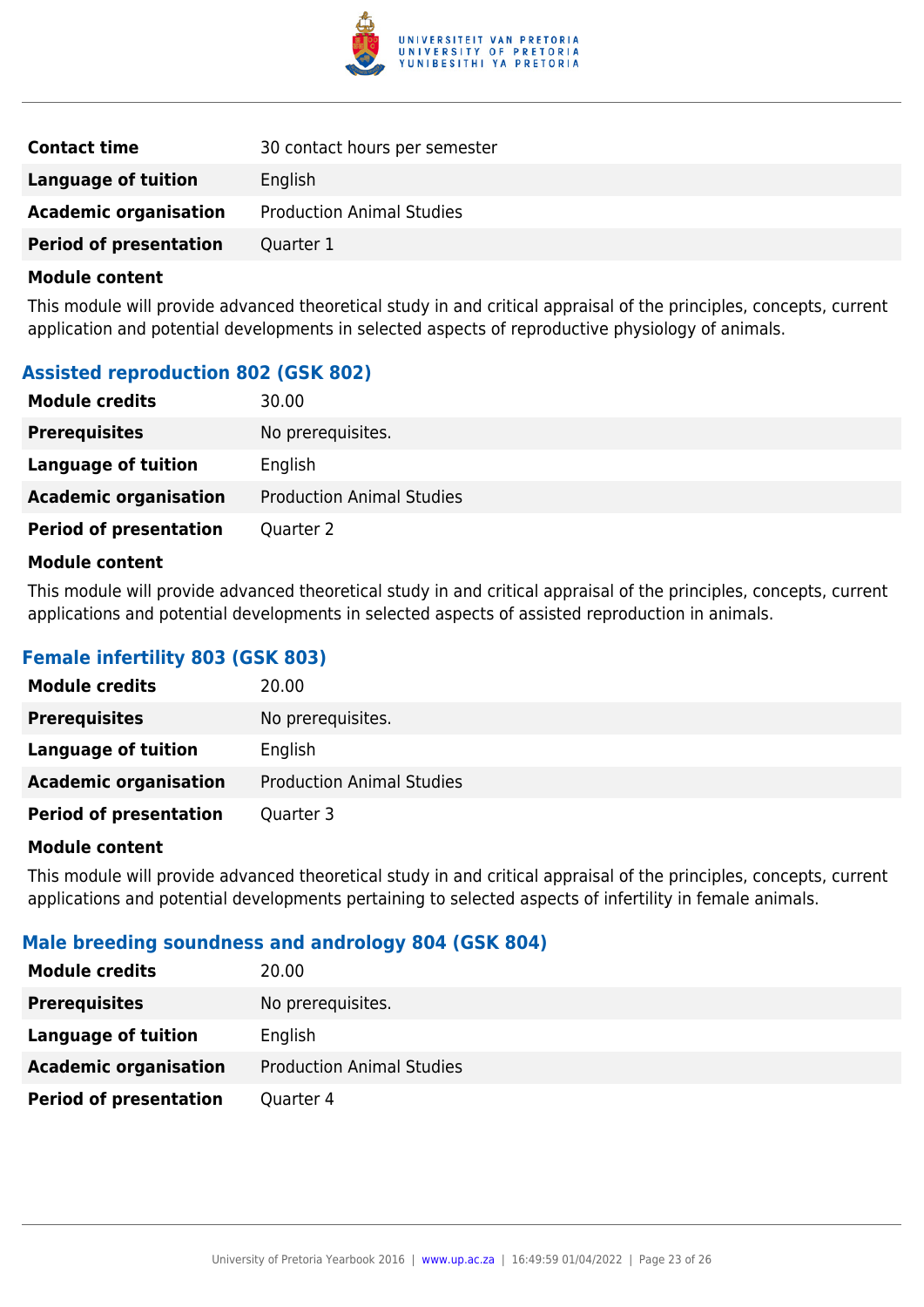

| <b>Contact time</b>           | 30 contact hours per semester    |
|-------------------------------|----------------------------------|
| Language of tuition           | English                          |
| <b>Academic organisation</b>  | <b>Production Animal Studies</b> |
| <b>Period of presentation</b> | Quarter 1                        |

This module will provide advanced theoretical study in and critical appraisal of the principles, concepts, current application and potential developments in selected aspects of reproductive physiology of animals.

## **Assisted reproduction 802 (GSK 802)**

| <b>Module credits</b>         | 30.00                            |
|-------------------------------|----------------------------------|
| <b>Prerequisites</b>          | No prerequisites.                |
| Language of tuition           | English                          |
| <b>Academic organisation</b>  | <b>Production Animal Studies</b> |
| <b>Period of presentation</b> | Quarter 2                        |

#### **Module content**

This module will provide advanced theoretical study in and critical appraisal of the principles, concepts, current applications and potential developments in selected aspects of assisted reproduction in animals.

## **Female infertility 803 (GSK 803)**

| <b>Module credits</b>         | 20.00                            |
|-------------------------------|----------------------------------|
| <b>Prerequisites</b>          | No prerequisites.                |
| Language of tuition           | English                          |
| <b>Academic organisation</b>  | <b>Production Animal Studies</b> |
| <b>Period of presentation</b> | Quarter 3                        |

#### **Module content**

This module will provide advanced theoretical study in and critical appraisal of the principles, concepts, current applications and potential developments pertaining to selected aspects of infertility in female animals.

## **Male breeding soundness and andrology 804 (GSK 804)**

| <b>Module credits</b>         | 20.00                            |
|-------------------------------|----------------------------------|
| <b>Prerequisites</b>          | No prerequisites.                |
| Language of tuition           | English                          |
| <b>Academic organisation</b>  | <b>Production Animal Studies</b> |
| <b>Period of presentation</b> | Quarter 4                        |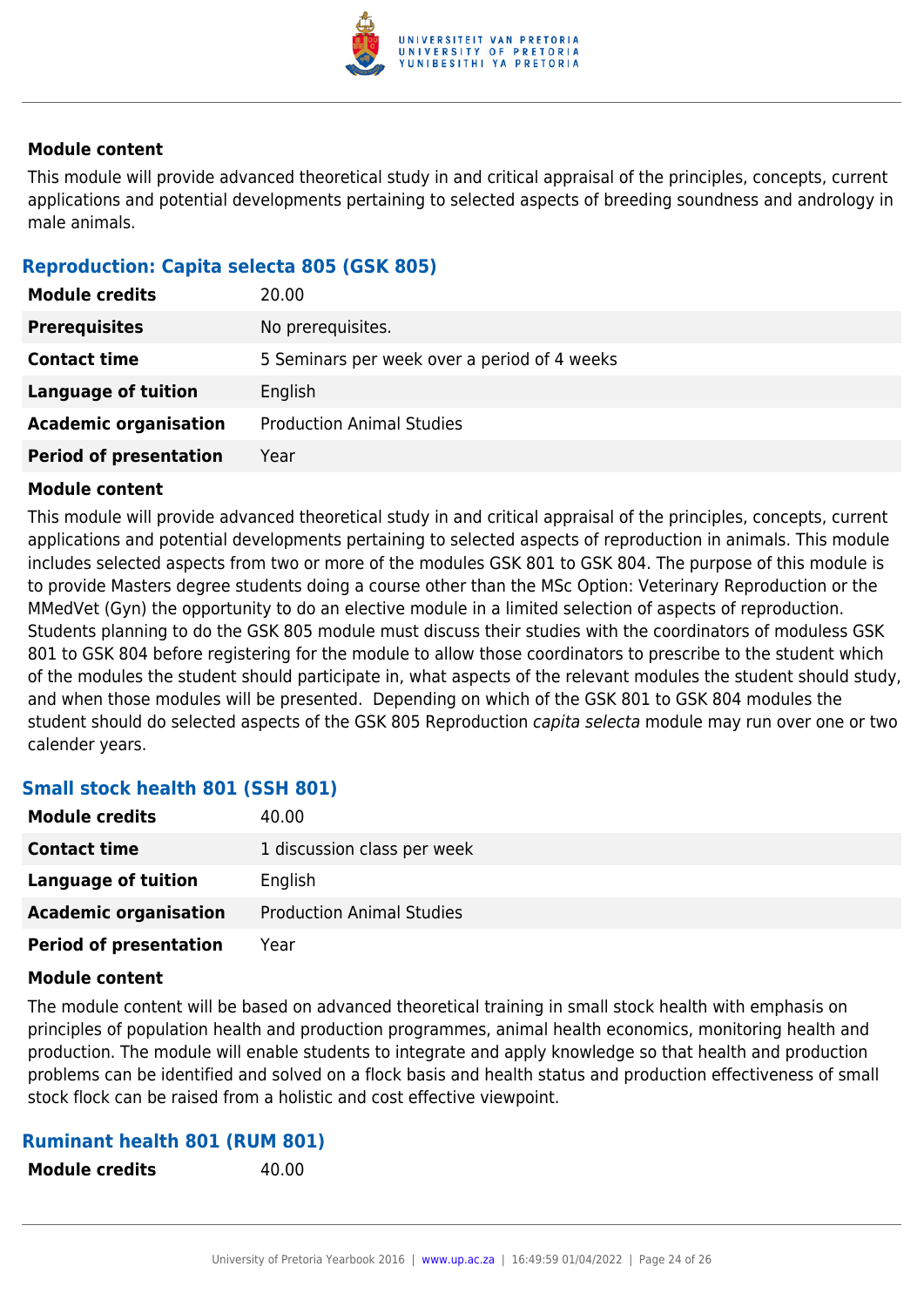

This module will provide advanced theoretical study in and critical appraisal of the principles, concepts, current applications and potential developments pertaining to selected aspects of breeding soundness and andrology in male animals.

## **Reproduction: Capita selecta 805 (GSK 805)**

| <b>Module credits</b>         | 20.00                                        |
|-------------------------------|----------------------------------------------|
| <b>Prerequisites</b>          | No prerequisites.                            |
| <b>Contact time</b>           | 5 Seminars per week over a period of 4 weeks |
| Language of tuition           | English                                      |
| <b>Academic organisation</b>  | <b>Production Animal Studies</b>             |
| <b>Period of presentation</b> | Year                                         |

### **Module content**

This module will provide advanced theoretical study in and critical appraisal of the principles, concepts, current applications and potential developments pertaining to selected aspects of reproduction in animals. This module includes selected aspects from two or more of the modules GSK 801 to GSK 804. The purpose of this module is to provide Masters degree students doing a course other than the MSc Option: Veterinary Reproduction or the MMedVet (Gyn) the opportunity to do an elective module in a limited selection of aspects of reproduction. Students planning to do the GSK 805 module must discuss their studies with the coordinators of moduless GSK 801 to GSK 804 before registering for the module to allow those coordinators to prescribe to the student which of the modules the student should participate in, what aspects of the relevant modules the student should study, and when those modules will be presented. Depending on which of the GSK 801 to GSK 804 modules the student should do selected aspects of the GSK 805 Reproduction capita selecta module may run over one or two calender years.

## **Small stock health 801 (SSH 801)**

| <b>Module credits</b>         | 40.00                            |
|-------------------------------|----------------------------------|
| <b>Contact time</b>           | 1 discussion class per week      |
| Language of tuition           | English                          |
| <b>Academic organisation</b>  | <b>Production Animal Studies</b> |
| <b>Period of presentation</b> | Year                             |

#### **Module content**

The module content will be based on advanced theoretical training in small stock health with emphasis on principles of population health and production programmes, animal health economics, monitoring health and production. The module will enable students to integrate and apply knowledge so that health and production problems can be identified and solved on a flock basis and health status and production effectiveness of small stock flock can be raised from a holistic and cost effective viewpoint.

#### **Ruminant health 801 (RUM 801)**

**Module credits** 40.00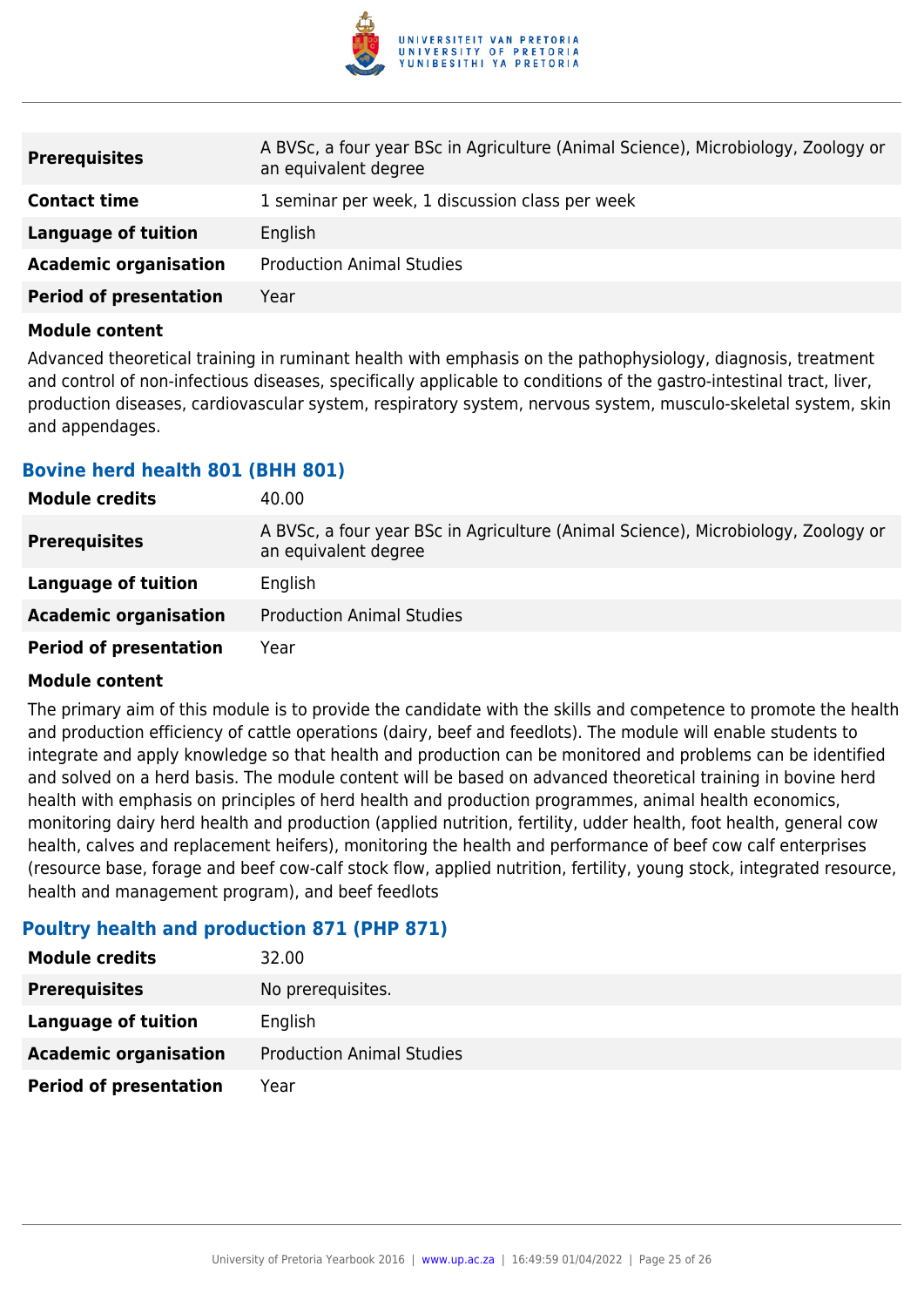

| <b>Prerequisites</b>          | A BVSc, a four year BSc in Agriculture (Animal Science), Microbiology, Zoology or<br>an equivalent degree |
|-------------------------------|-----------------------------------------------------------------------------------------------------------|
| <b>Contact time</b>           | 1 seminar per week, 1 discussion class per week                                                           |
| Language of tuition           | English                                                                                                   |
| <b>Academic organisation</b>  | <b>Production Animal Studies</b>                                                                          |
| <b>Period of presentation</b> | Year                                                                                                      |

Advanced theoretical training in ruminant health with emphasis on the pathophysiology, diagnosis, treatment and control of non-infectious diseases, specifically applicable to conditions of the gastro-intestinal tract, liver, production diseases, cardiovascular system, respiratory system, nervous system, musculo-skeletal system, skin and appendages.

### **Bovine herd health 801 (BHH 801)**

| <b>Module credits</b>         | 40.00                                                                                                     |
|-------------------------------|-----------------------------------------------------------------------------------------------------------|
| <b>Prerequisites</b>          | A BVSc, a four year BSc in Agriculture (Animal Science), Microbiology, Zoology or<br>an equivalent degree |
| Language of tuition           | English                                                                                                   |
| <b>Academic organisation</b>  | <b>Production Animal Studies</b>                                                                          |
| <b>Period of presentation</b> | Year                                                                                                      |

#### **Module content**

The primary aim of this module is to provide the candidate with the skills and competence to promote the health and production efficiency of cattle operations (dairy, beef and feedlots). The module will enable students to integrate and apply knowledge so that health and production can be monitored and problems can be identified and solved on a herd basis. The module content will be based on advanced theoretical training in bovine herd health with emphasis on principles of herd health and production programmes, animal health economics, monitoring dairy herd health and production (applied nutrition, fertility, udder health, foot health, general cow health, calves and replacement heifers), monitoring the health and performance of beef cow calf enterprises (resource base, forage and beef cow-calf stock flow, applied nutrition, fertility, young stock, integrated resource, health and management program), and beef feedlots

## **Poultry health and production 871 (PHP 871)**

| <b>Module credits</b>         | 32.00                            |
|-------------------------------|----------------------------------|
| <b>Prerequisites</b>          | No prerequisites.                |
| Language of tuition           | English                          |
| <b>Academic organisation</b>  | <b>Production Animal Studies</b> |
| <b>Period of presentation</b> | Year                             |